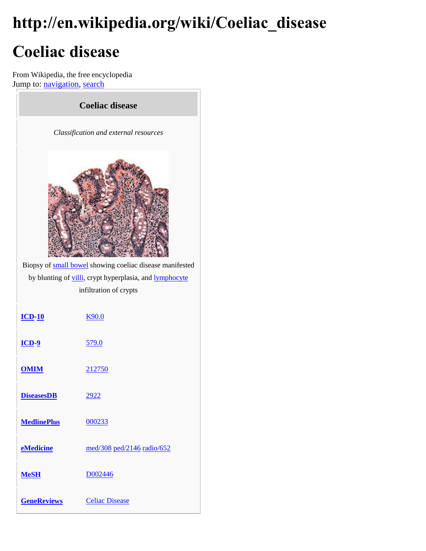# **http://en.wikipedia.org/wiki/Coeliac\_disease Coeliac disease**

From Wikipedia, the free encyclopedia Jump to: [navigation,](http://en.wikipedia.org/wiki/Coeliac_disease#mw-head) [search](http://en.wikipedia.org/wiki/Coeliac_disease#p-search)

| <b>Coeliac disease</b>                                   |                            |  |
|----------------------------------------------------------|----------------------------|--|
| Classification and external resources                    |                            |  |
|                                                          |                            |  |
| Biopsy of small bowel showing coeliac disease manifested |                            |  |
| by blunting of villi, crypt hyperplasia, and lymphocyte  |                            |  |
| infiltration of crypts                                   |                            |  |
| $ICD-10$                                                 | <b>K90.0</b>               |  |
| $\underline{\mathbf{ICD}}\ \underline{\mathbf{9}}$       | <u>579.0</u>               |  |
| <b>OMIM</b>                                              | 212750                     |  |
| <b>DiseasesDB</b>                                        | 2922                       |  |
| <b>MedlinePlus</b>                                       | 000233                     |  |
| eMedicine                                                | med/308 ped/2146 radio/652 |  |
| <b>MeSH</b>                                              | D002446                    |  |
| <b>GeneReviews</b>                                       | <b>Celiac Disease</b>      |  |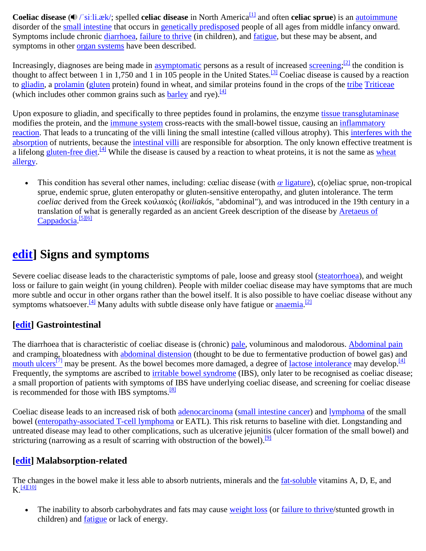**Coeliac disease** ( $\triangle$  /'si:li.æk/; spelled **celiac disease** in North America<sup>[\[1\]](http://en.wikipedia.org/wiki/Coeliac_disease#cite_note-0)</sup> and often **celiac sprue**) is an [autoimmune](http://en.wikipedia.org/wiki/Autoimmunity) disorder of the [small intestine](http://en.wikipedia.org/wiki/Small_intestine) that occurs in [genetically predisposed](http://en.wikipedia.org/wiki/Genetic_predisposition) people of all ages from middle infancy onward. Symptoms include chronic [diarrhoea,](http://en.wikipedia.org/wiki/Diarrhea) [failure to thrive](http://en.wikipedia.org/wiki/Failure_to_thrive) (in children), and [fatigue,](http://en.wikipedia.org/wiki/Fatigue_(physical)) but these may be absent, and symptoms in other [organ systems](http://en.wikipedia.org/wiki/Organ_(anatomy)) have been described.

Increasingly, diagnoses are being made in [asymptomatic](http://en.wikipedia.org/wiki/Asymptomatic) persons as a result of increased [screening;](http://en.wikipedia.org/wiki/Screening_(medicine))<sup>[\[2\]](http://en.wikipedia.org/wiki/Coeliac_disease#cite_note-VanHeelWest-1)</sup> the condition is thought to affect between 1 in 1,750 and 1 in 105 people in the United States.<sup>[\[3\]](http://en.wikipedia.org/wiki/Coeliac_disease#cite_note-nih_epi-2)</sup> Coeliac disease is caused by a reaction to [gliadin,](http://en.wikipedia.org/wiki/Gliadin) a [prolamin](http://en.wikipedia.org/wiki/Prolamin) [\(gluten](http://en.wikipedia.org/wiki/Gluten) protein) found in wheat, and similar proteins found in the crops of the [tribe](http://en.wikipedia.org/wiki/Tribe_(biology)) [Triticeae](http://en.wikipedia.org/wiki/Triticeae) (which includes other common grains such as  $barley$  and rye).<sup>[\[4\]](http://en.wikipedia.org/wiki/Coeliac_disease#cite_note-Lancet-3)</sup>

Upon exposure to gliadin, and specifically to three peptides found in prolamins, the enzyme [tissue transglutaminase](http://en.wikipedia.org/wiki/Tissue_transglutaminase) modifies the protein, and the [immune system](http://en.wikipedia.org/wiki/Immune_system) cross-reacts with the small-bowel tissue, causing an inflammatory [reaction.](http://en.wikipedia.org/wiki/Inflammation) That leads to a truncating of the villi lining the small intestine (called villous atrophy). This interferes with the [absorption](http://en.wikipedia.org/wiki/Malabsorption) of nutrients, because the [intestinal villi](http://en.wikipedia.org/wiki/Intestinal_villus) are responsible for absorption. The only known effective treatment is a lifelong [gluten-free diet.](http://en.wikipedia.org/wiki/Gluten-free_diet)<sup>[\[4\]](http://en.wikipedia.org/wiki/Coeliac_disease#cite_note-Lancet-3)</sup> While the disease is caused by a reaction to [wheat](http://en.wikipedia.org/wiki/Wheat_allergy) proteins, it is not the same as wheat [allergy.](http://en.wikipedia.org/wiki/Wheat_allergy)

 This condition has several other names, including: cœliac disease (with *œ* [ligature\)](http://en.wikipedia.org/wiki/%C5%92), c(o)eliac sprue, non-tropical sprue, endemic sprue, gluten enteropathy or gluten-sensitive enteropathy, and gluten intolerance. The term *coeliac* derived from the Greek κοιλιακός (*koiliakós*, "abdominal"), and was introduced in the 19th century in a translation of what is generally regarded as an ancient Greek description of the disease by [Aretaeus](http://en.wikipedia.org/wiki/Aretaeus_of_Cappadocia) of [Cappadocia.](http://en.wikipedia.org/wiki/Aretaeus_of_Cappadocia)<sup>[\[5\]\[6\]](http://en.wikipedia.org/wiki/Coeliac_disease#cite_note-Aretaeus-4)</sup>

## **[edit\]](http://en.wikipedia.org/w/index.php?title=Coeliac_disease&action=edit§ion=1) Signs and symptoms**

Severe coeliac disease leads to the characteristic symptoms of pale, loose and greasy stool [\(steatorrhoea\)](http://en.wikipedia.org/wiki/Steatorrhoea), and weight loss or failure to gain weight (in young children). People with milder coeliac disease may have symptoms that are much more subtle and occur in other organs rather than the bowel itself. It is also possible to have coeliac disease without any symptoms whatsoever.<sup>[\[4\]](http://en.wikipedia.org/wiki/Coeliac_disease#cite_note-Lancet-3)</sup> Many adults with subtle disease only have fatigue or **anaemia**.<sup>[\[2\]](http://en.wikipedia.org/wiki/Coeliac_disease#cite_note-VanHeelWest-1)</sup>

## **[\[edit\]](http://en.wikipedia.org/w/index.php?title=Coeliac_disease&action=edit§ion=2) Gastrointestinal**

The diarrhoea that is characteristic of coeliac disease is (chronic) [pale,](http://en.wikipedia.org/wiki/Steatorrhoea) voluminous and malodorous. [Abdominal pain](http://en.wikipedia.org/wiki/Abdominal_pain) and cramping, bloatedness with [abdominal distension](http://en.wikipedia.org/wiki/Abdominal_distension) (thought to be due to fermentative production of bowel gas) and [mouth ulcers](http://en.wikipedia.org/wiki/Mouth_ulcer)<sup>[\[7\]](http://en.wikipedia.org/wiki/Mouth_ulcer)</sup> may be present. As the bowel becomes more damaged, a degree of [lactose intolerance](http://en.wikipedia.org/wiki/Lactose_intolerance) may develop.<sup>[\[4\]](http://en.wikipedia.org/wiki/Coeliac_disease#cite_note-Lancet-3)</sup> Frequently, the symptoms are ascribed to *irritable bowel syndrome* (IBS), only later to be recognised as coeliac disease; a small proportion of patients with symptoms of IBS have underlying coeliac disease, and screening for coeliac disease is recommended for those with IBS symptoms. $\frac{8}{8}$ 

Coeliac disease leads to an increased risk of both [adenocarcinoma](http://en.wikipedia.org/wiki/Adenocarcinoma) [\(small intestine cancer\)](http://en.wikipedia.org/wiki/Small_intestine_cancer) and [lymphoma](http://en.wikipedia.org/wiki/Lymphoma) of the small bowel [\(enteropathy-associated T-cell lymphoma](http://en.wikipedia.org/wiki/Enteropathy-associated_T-cell_lymphoma) or EATL). This risk returns to baseline with diet. Longstanding and untreated disease may lead to other complications, such as ulcerative jejunitis (ulcer formation of the small bowel) and stricturing (narrowing as a result of scarring with obstruction of the bowel).  $[9]$ 

### **[\[edit\]](http://en.wikipedia.org/w/index.php?title=Coeliac_disease&action=edit§ion=3) Malabsorption-related**

The changes in the bowel make it less able to absorb nutrients, minerals and the [fat-soluble](http://en.wikipedia.org/wiki/Fat-soluble) vitamins A, D, E, and  $K$ <sup>[\[4\]\[10\]](http://en.wikipedia.org/wiki/Coeliac_disease#cite_note-Lancet-3)</sup>

• The inability to absorb carbohydrates and fats may cause [weight loss](http://en.wikipedia.org/wiki/Weight_loss) (or [failure to thrive/](http://en.wikipedia.org/wiki/Failure_to_thrive)stunted growth in children) and [fatigue](http://en.wikipedia.org/wiki/Fatigue_(physical)) or lack of energy.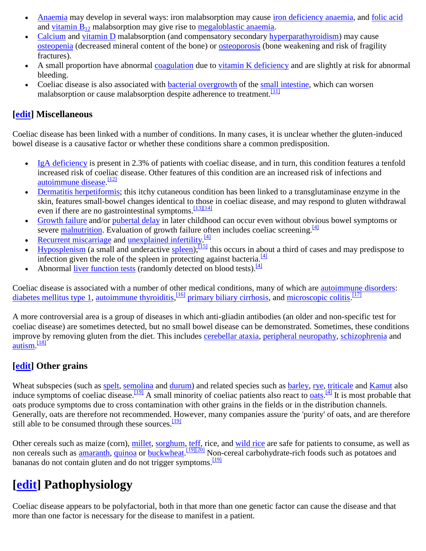- [Anaemia](http://en.wikipedia.org/wiki/Anaemia) may develop in several ways: iron malabsorption may cause [iron deficiency anaemia,](http://en.wikipedia.org/wiki/Iron_deficiency_anaemia) and [folic acid](http://en.wikipedia.org/wiki/Folic_acid) and vitamin  $B_{12}$  malabsorption may give rise to [megaloblastic anaemia.](http://en.wikipedia.org/wiki/Megaloblastic_anemia)
- [Calcium](http://en.wikipedia.org/wiki/Calcium_in_biology) and [vitamin D](http://en.wikipedia.org/wiki/Vitamin_D) malabsorption (and compensatory secondary [hyperparathyroidism\)](http://en.wikipedia.org/wiki/Hyperparathyroidism) may cause [osteopenia](http://en.wikipedia.org/wiki/Osteopenia) (decreased mineral content of the bone) or [osteoporosis](http://en.wikipedia.org/wiki/Osteoporosis) (bone weakening and risk of fragility fractures).
- A small proportion have abnormal [coagulation](http://en.wikipedia.org/wiki/Coagulation) due to [vitamin K deficiency](http://en.wikipedia.org/wiki/Vitamin_K_deficiency) and are slightly at risk for abnormal bleeding.
- Coeliac disease is also associated with [bacterial overgrowth](http://en.wikipedia.org/wiki/Small_bowel_bacterial_overgrowth_syndrome) of the [small intestine,](http://en.wikipedia.org/wiki/Small_intestine) which can worsen malabsorption or cause malabsorption despite adherence to treatment.<sup>[\[11\]](http://en.wikipedia.org/wiki/Coeliac_disease#cite_note-Tursi-10)</sup>

## **[\[edit\]](http://en.wikipedia.org/w/index.php?title=Coeliac_disease&action=edit§ion=4) Miscellaneous**

Coeliac disease has been linked with a number of conditions. In many cases, it is unclear whether the gluten-induced bowel disease is a causative factor or whether these conditions share a common predisposition.

- $\bullet$  [IgA deficiency](http://en.wikipedia.org/wiki/IgA_deficiency) is present in 2.3% of patients with coeliac disease, and in turn, this condition features a tenfold increased risk of coeliac disease. Other features of this condition are an increased risk of infections and [autoimmune disease.](http://en.wikipedia.org/wiki/Autoimmune_disease)<sup>[\[12\]](http://en.wikipedia.org/wiki/Coeliac_disease#cite_note-11)</sup>
- [Dermatitis herpetiformis;](http://en.wikipedia.org/wiki/Dermatitis_herpetiformis) this itchy cutaneous condition has been linked to a transglutaminase enzyme in the skin, features small-bowel changes identical to those in coeliac disease, and may respond to gluten withdrawal even if there are no gastrointestinal symptoms.<sup>[\[13\]\[14\]](http://en.wikipedia.org/wiki/Coeliac_disease#cite_note-Marks-12)</sup>
- [Growth failure](http://en.wikipedia.org/wiki/Growth_failure) and/or [pubertal delay](http://en.wikipedia.org/wiki/Delayed_puberty) in later childhood can occur even without obvious bowel symptoms or severe [malnutrition.](http://en.wikipedia.org/wiki/Malnutrition) Evaluation of growth failure often includes coeliac screening.<sup>[\[4\]](http://en.wikipedia.org/wiki/Coeliac_disease#cite_note-Lancet-3)</sup>
- [Recurrent miscarriage](http://en.wikipedia.org/wiki/Habitual_abortion) and <u>unexplained infertility.</u><sup>[\[4\]](http://en.wikipedia.org/wiki/Coeliac_disease#cite_note-Lancet-3)</sup>
- $\overline{Hypophenism}$  (a small and underactive [spleen\)](http://en.wikipedia.org/wiki/Spleen); $\overline{15}$  this occurs in about a third of cases and may predispose to infection given the role of the spleen in protecting against bacteria.  $[4]$
- Abnormal <u>liver function tests</u> (randomly detected on blood tests).<sup>[\[4\]](http://en.wikipedia.org/wiki/Coeliac_disease#cite_note-Lancet-3)</sup>

Coeliac disease is associated with a number of other medical conditions, many of which are [autoimmune disorders:](http://en.wikipedia.org/wiki/Autoimmune_disorder) [diabetes mellitus type 1,](http://en.wikipedia.org/wiki/Diabetes_mellitus_type_1) [autoimmune thyroiditis,](http://en.wikipedia.org/wiki/Thyroiditis) <sup>[\[16\]](http://en.wikipedia.org/wiki/Coeliac_disease#cite_note-15)</sup> [primary biliary cirrhosis,](http://en.wikipedia.org/wiki/Primary_biliary_cirrhosis) and [microscopic colitis.](http://en.wikipedia.org/wiki/Microscopic_colitis)<sup>[\[17\]](http://en.wikipedia.org/wiki/Coeliac_disease#cite_note-NICEcoeliac-16)</sup>

A more controversial area is a group of diseases in which anti-gliadin antibodies (an older and non-specific test for coeliac disease) are sometimes detected, but no small bowel disease can be demonstrated. Sometimes, these conditions improve by removing gluten from the diet. This includes [cerebellar ataxia,](http://en.wikipedia.org/wiki/Cerebellar_ataxia) [peripheral neuropathy,](http://en.wikipedia.org/wiki/Peripheral_neuropathy) [schizophrenia](http://en.wikipedia.org/wiki/Schizophrenia) and [autism.](http://en.wikipedia.org/wiki/Autism_spectrum)<sup>[\[18\]](http://en.wikipedia.org/wiki/Coeliac_disease#cite_note-Schuppan-17)</sup>

## **[\[edit\]](http://en.wikipedia.org/w/index.php?title=Coeliac_disease&action=edit§ion=5) Other grains**

Wheat subspecies (such as [spelt,](http://en.wikipedia.org/wiki/Spelt) [semolina](http://en.wikipedia.org/wiki/Semolina) and [durum\)](http://en.wikipedia.org/wiki/Durum) and related species such as [barley,](http://en.wikipedia.org/wiki/Barley) [rye,](http://en.wikipedia.org/wiki/Rye) [triticale](http://en.wikipedia.org/wiki/Triticale) and [Kamut](http://en.wikipedia.org/wiki/Kamut) also induce symptoms of coeliac disease.  $\frac{191}{9}$  A small minority of coeliac patients also react to <u>oats</u>.  $\frac{41}{11}$  It is most probable that oats produce symptoms due to cross contamination with other grains in the fields or in the distribution channels. Generally, oats are therefore not recommended. However, many companies assure the 'purity' of oats, and are therefore still able to be consumed through these sources.<sup>[\[19\]](http://en.wikipedia.org/wiki/Coeliac_disease#cite_note-Kupper-18)</sup>

Other cereals such as maize (corn), [millet,](http://en.wikipedia.org/wiki/Millet) [sorghum,](http://en.wikipedia.org/wiki/Sorghum) [teff,](http://en.wikipedia.org/wiki/Teff) rice, and [wild rice](http://en.wikipedia.org/wiki/Wild_rice) are safe for patients to consume, as well as non cereals such as <u>amaranth, [quinoa](http://en.wikipedia.org/wiki/Quinoa)</u> or **buckwheat**. [\[19\]\[20\]](http://en.wikipedia.org/wiki/Coeliac_disease#cite_note-Kupper-18) Non-cereal carbohydrate-rich foods such as potatoes and bananas do not contain gluten and do not trigger symptoms.<sup>[\[19\]](http://en.wikipedia.org/wiki/Coeliac_disease#cite_note-Kupper-18)</sup>

## **[\[edit\]](http://en.wikipedia.org/w/index.php?title=Coeliac_disease&action=edit§ion=6) Pathophysiology**

Coeliac disease appears to be polyfactorial, both in that more than one genetic factor can cause the disease and that more than one factor is necessary for the disease to manifest in a patient.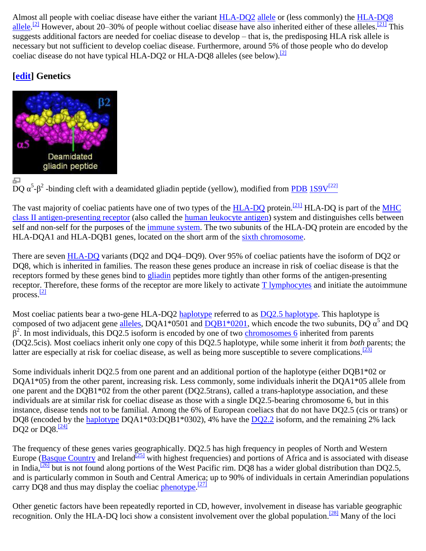Almost all people with coeliac disease have either the variant [HLA-DQ2](http://en.wikipedia.org/wiki/HLA-DQ2) [allele](http://en.wikipedia.org/wiki/Allele) or (less commonly) the [HLA-DQ8](http://en.wikipedia.org/wiki/HLA-DQ8) [allele.](http://en.wikipedia.org/wiki/Allele)<sup>[\[2\]](http://en.wikipedia.org/wiki/Coeliac_disease#cite_note-VanHeelWest-1)</sup> However, about 20–30% of people without coeliac disease have also inherited either of these alleles.<sup>[\[21\]](http://en.wikipedia.org/wiki/Coeliac_disease#cite_note-pmid17785484-20)</sup> This suggests additional factors are needed for coeliac disease to develop – that is, the predisposing HLA risk allele is necessary but not sufficient to develop coeliac disease. Furthermore, around 5% of those people who do develop coeliac disease do not have typical HLA-DQ2 or HLA-DQ8 alleles (see below).<sup>[\[2\]](http://en.wikipedia.org/wiki/Coeliac_disease#cite_note-VanHeelWest-1)</sup>

## **[\[edit\]](http://en.wikipedia.org/w/index.php?title=Coeliac_disease&action=edit§ion=7) Genetics**



DQ  $\alpha^5$ - $\beta^2$  -binding cleft with a deamidated gliadin peptide (yellow), modified from [PDB](http://en.wikipedia.org/wiki/Protein_Data_Bank) [1S9V](http://www.rcsb.org/pdb/explore/explore.do?structureId=1S9V)<sup>[\[22\]](http://www.rcsb.org/pdb/explore/explore.do?structureId=1S9V)</sup>

The vast majority of coeliac patients have one of two types of the [HLA-DQ](http://en.wikipedia.org/wiki/HLA-DQ) protein.<sup>[\[21\]](http://en.wikipedia.org/wiki/Coeliac_disease#cite_note-pmid17785484-20)</sup> HLA-DQ is part of the MHC [class II antigen-presenting receptor](http://en.wikipedia.org/wiki/Major_histocompatibility_complex) (also called the [human leukocyte antigen\)](http://en.wikipedia.org/wiki/Human_leukocyte_antigen) system and distinguishes cells between self and non-self for the purposes of the [immune system.](http://en.wikipedia.org/wiki/Immune_system) The two subunits of the HLA-DQ protein are encoded by the HLA-DQA1 and HLA-DQB1 genes, located on the short arm of the [sixth chromosome.](http://en.wikipedia.org/wiki/Chromosome_6_(human))

There are seven [HLA-DQ](http://en.wikipedia.org/wiki/HLA-DQ) variants (DQ2 and DQ4–DQ9). Over 95% of coeliac patients have the isoform of DQ2 or DQ8, which is inherited in families. The reason these genes produce an increase in risk of coeliac disease is that the receptors formed by these genes bind to [gliadin](http://en.wikipedia.org/wiki/Gliadin) peptides more tightly than other forms of the antigen-presenting receptor. Therefore, these forms of the receptor are more likely to activate [T lymphocytes](http://en.wikipedia.org/wiki/T_cell) and initiate the autoimmune process. $\frac{[2]}{[2]}$  $\frac{[2]}{[2]}$  $\frac{[2]}{[2]}$ 

Most coeliac patients bear a two-gene HLA-DQ2 [haplotype](http://en.wikipedia.org/wiki/Haplotype) referred to as [DQ2.5 haplotype.](http://en.wikipedia.org/wiki/HLA-DQ2#DQ2.5) This haplotype is composed of two adjacent gene [alleles,](http://en.wikipedia.org/wiki/Allele) DQA1\*0501 and  $\overline{DQB1*0201}$ , which encode the two subunits, DQ  $\alpha^5$  and DQ  $β<sup>2</sup>$ . In most individuals, this DQ2.5 isoform is encoded by one of two [chromosomes 6](http://en.wikipedia.org/wiki/Chromosome_6_(human)) inherited from parents (DQ2.5cis). Most coeliacs inherit only one copy of this DQ2.5 haplotype, while some inherit it from *both* parents; the latter are especially at risk for coeliac disease, as well as being more susceptible to severe complications.  $\frac{[23]}{[23]}$  $\frac{[23]}{[23]}$  $\frac{[23]}{[23]}$ 

Some individuals inherit DQ2.5 from one parent and an additional portion of the haplotype (either DQB1\*02 or DQA1\*05) from the other parent, increasing risk. Less commonly, some individuals inherit the DQA1\*05 allele from one parent and the DQB1\*02 from the other parent (DQ2.5trans), called a trans-haplotype association, and these individuals are at similar risk for coeliac disease as those with a single DQ2.5-bearing chromosome 6, but in this instance, disease tends not to be familial. Among the 6% of European coeliacs that do not have DQ2.5 (cis or trans) or DQ8 (encoded by the [haplotype](http://en.wikipedia.org/wiki/Haplotype) DQA1\*03:DQB1\*0302), 4% have the [DQ2.2](http://en.wikipedia.org/wiki/HLA-DQ2#DQ2.2_and_gluten) isoform, and the remaining 2% lack DO2 or DO8. $\frac{[24]}{[24]}$  $\frac{[24]}{[24]}$  $\frac{[24]}{[24]}$ 

The frequency of these genes varies geographically. DQ2.5 has high frequency in peoples of North and Western Europe [\(Basque Country](http://en.wikipedia.org/wiki/Basque_Country_(historical_territory)) and Ireland<sup>[\[25\]](http://en.wikipedia.org/wiki/Coeliac_disease#cite_note-24)</sup> with highest frequencies) and portions of Africa and is associated with disease in India, <sup>[\[26\]](http://en.wikipedia.org/wiki/Coeliac_disease#cite_note-25)</sup> but is not found along portions of the West Pacific rim. DO8 has a wider global distribution than DO2.5, and is particularly common in South and Central America; up to 90% of individuals in certain Amerindian populations carry DQ8 and thus may display the coeliac [phenotype.](http://en.wikipedia.org/wiki/Phenotype)  $[27]$ 

Other genetic factors have been repeatedly reported in CD, however, involvement in disease has variable geographic recognition. Only the HLA-DQ loci show a consistent involvement over the global population.<sup>[\[28\]](http://en.wikipedia.org/wiki/Coeliac_disease#cite_note-Dubois2010-27)</sup> Many of the loci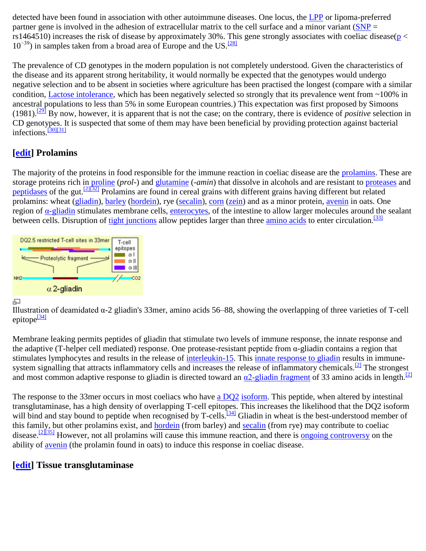detected have been found in association with other autoimmune diseases. One locus, the [LPP](http://en.wikipedia.org/wiki/LPP_(gene)) or lipoma-preferred partner gene is involved in the adhesion of extracellular matrix to the cell surface and a minor variant  $(SNP =$  $(SNP =$ rs1464510) increases the risk of disease by approximately 30%. This gene strongly associates with coeliac disease( $p <$  $10^{-39}$ ) in samples taken from a broad area of Europe and the US.<sup>[\[28\]](http://en.wikipedia.org/wiki/Coeliac_disease#cite_note-Dubois2010-27)</sup>

The prevalence of CD genotypes in the modern population is not completely understood. Given the characteristics of the disease and its apparent strong heritability, it would normally be expected that the genotypes would undergo negative selection and to be absent in societies where agriculture has been practised the longest (compare with a similar condition, [Lactose intolerance,](http://en.wikipedia.org/wiki/Lactose_intolerance) which has been negatively selected so strongly that its prevalence went from ~100% in ancestral populations to less than 5% in some European countries.) This expectation was first proposed by Simoons (1981).[\[29\]](http://en.wikipedia.org/wiki/Coeliac_disease#cite_note-28) By now, however, it is apparent that is not the case; on the contrary, there is evidence of *positive* selection in CD genotypes. It is suspected that some of them may have been beneficial by providing protection against bacterial infections. $\frac{30[31]}{30}$ 

## **[\[edit\]](http://en.wikipedia.org/w/index.php?title=Coeliac_disease&action=edit§ion=8) Prolamins**

The majority of the proteins in food responsible for the immune reaction in coeliac disease are the [prolamins.](http://en.wikipedia.org/wiki/Prolamin) These are storage proteins rich in [proline](http://en.wikipedia.org/wiki/Proline) (*prol-*) and [glutamine](http://en.wikipedia.org/wiki/Glutamine) (*-amin*) that dissolve in alcohols and are resistant to [proteases](http://en.wikipedia.org/wiki/Protease) and [peptidases](http://en.wikipedia.org/wiki/Peptidase) of the gut.  $\frac{[2][32]}{]}$  $\frac{[2][32]}{]}$  $\frac{[2][32]}{]}$  Prolamins are found in cereal grains with different grains having different but related prolamins: wheat [\(gliadin\)](http://en.wikipedia.org/wiki/Gliadin), [barley](http://en.wikipedia.org/wiki/Barley) [\(hordein\)](http://en.wikipedia.org/wiki/Hordein), rye [\(secalin\)](http://en.wikipedia.org/wiki/Secalin), [corn](http://en.wikipedia.org/wiki/Maize) [\(zein\)](http://en.wikipedia.org/wiki/Zein) and as a minor protein, [avenin](http://en.wikipedia.org/wiki/Avenin) in oats. One region of  $\alpha$ -gliadin stimulates membrane cells, [enterocytes,](http://en.wikipedia.org/wiki/Enterocyte) of the intestine to allow larger molecules around the sealant between cells. Disruption of [tight junctions](http://en.wikipedia.org/wiki/Tight_junctions) allow peptides larger than three *amino acids* to enter circulation.<sup>[\[33\]](http://en.wikipedia.org/wiki/Coeliac_disease#cite_note-pmid18485912-32)</sup>



#### 문

Illustration of deamidated α-2 gliadin's 33mer, amino acids 56–88, showing the overlapping of three varieties of T-cell epitope<sup>[\[34\]](http://en.wikipedia.org/wiki/Coeliac_disease#cite_note-pmid15265905-33)</sup>

Membrane leaking permits peptides of gliadin that stimulate two levels of immune response, the innate response and the adaptive (T-helper cell mediated) response. One protease-resistant peptide from  $\alpha$ -gliadin contains a region that stimulates lymphocytes and results in the release of [interleukin-15.](http://en.wikipedia.org/wiki/Interleukin-15) This [innate response to gliadin](http://en.wikipedia.org/wiki/Gluten_immunochemistry#Innate_immunity) results in immune-system signalling that attracts inflammatory cells and increases the release of inflammatory chemicals.<sup>[\[2\]](http://en.wikipedia.org/wiki/Coeliac_disease#cite_note-VanHeelWest-1)</sup> The strongest and most common adaptive response to gliadin is directed toward an  $a2$ -gliadin fragment of 33 amino acids in length.<sup>[\[2\]](http://en.wikipedia.org/wiki/Coeliac_disease#cite_note-VanHeelWest-1)</sup>

The response to the 33mer occurs in most coeliacs who have [a DQ2](http://en.wikipedia.org/wiki/HLA-DQ2#DQ2.5_and_gluten) [isoform.](http://en.wiktionary.org/wiki/isoform) This peptide, when altered by intestinal transglutaminase, has a high density of overlapping T-cell epitopes. This increases the likelihood that the DQ2 isoform will bind and stay bound to peptide when recognised by T-cells.<sup>[\[34\]](http://en.wikipedia.org/wiki/Coeliac_disease#cite_note-pmid15265905-33)</sup> Gliadin in wheat is the best-understood member of this family, but other prolamins exist, and [hordein](http://en.wikipedia.org/wiki/Hordein) (from barley) and [secalin](http://en.wikipedia.org/wiki/Secalin) (from rye) may contribute to coeliac disease.<sup>[\[2\]\[35\]](http://en.wikipedia.org/wiki/Coeliac_disease#cite_note-VanHeelWest-1)</sup> However, not all prolamins will cause this immune reaction, and there is [ongoing controversy](http://en.wikipedia.org/wiki/Gluten_sensitivity#The_oat_controversy) on the ability of [avenin](http://en.wikipedia.org/wiki/Avenin) (the prolamin found in oats) to induce this response in coeliac disease.

### **[\[edit\]](http://en.wikipedia.org/w/index.php?title=Coeliac_disease&action=edit§ion=9) Tissue transglutaminase**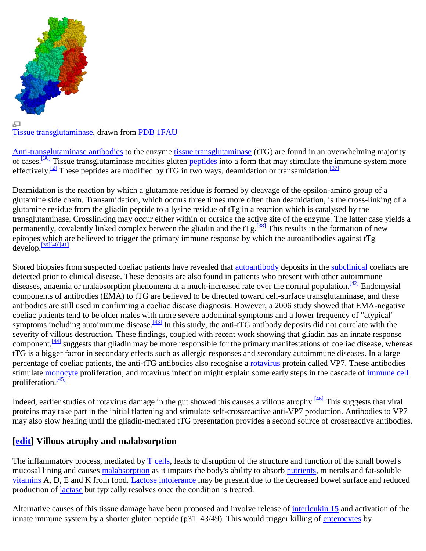

#### 모 [Tissue transglutaminase,](http://en.wikipedia.org/wiki/Tissue_transglutaminase) drawn from [PDB](http://en.wikipedia.org/wiki/Protein_Data_Bank) [1FAU](http://www.rcsb.org/pdb/explore/explore.do?structureId=1FAU)

[Anti-transglutaminase antibodies](http://en.wikipedia.org/wiki/Anti-transglutaminase_antibodies) to the enzyme [tissue transglutaminase](http://en.wikipedia.org/wiki/Tissue_transglutaminase) (tTG) are found in an overwhelming majority of cases.<sup>[\[36\]](http://en.wikipedia.org/wiki/Coeliac_disease#cite_note-Dieterich-35)</sup> Tissue transglutaminase modifies gluten [peptides](http://en.wikipedia.org/wiki/Peptide) into a form that may stimulate the immune system more effectively.<sup>[\[2\]](http://en.wikipedia.org/wiki/Coeliac_disease#cite_note-VanHeelWest-1)</sup> These peptides are modified by tTG in two ways, deamidation or transamidation.<sup>[\[37\]](http://en.wikipedia.org/wiki/Coeliac_disease#cite_note-Skovbjerg-36)</sup>

Deamidation is the reaction by which a glutamate residue is formed by cleavage of the epsilon-amino group of a glutamine side chain. Transamidation, which occurs three times more often than deamidation, is the cross-linking of a glutamine residue from the gliadin peptide to a lysine residue of tTg in a reaction which is catalysed by the transglutaminase. Crosslinking may occur either within or outside the active site of the enzyme. The latter case yields a permanently, covalently linked complex between the gliadin and the t $Tg$ .<sup>[\[38\]](http://en.wikipedia.org/wiki/Coeliac_disease#cite_note-Fleckenstein-37)</sup> This results in the formation of new epitopes which are believed to trigger the primary immune response by which the autoantibodies against tTg  $develop. \frac{[39][40][41]}{[39][40][41]}$  $develop. \frac{[39][40][41]}{[39][40][41]}$  $develop. \frac{[39][40][41]}{[39][40][41]}$  $develop. \frac{[39][40][41]}{[39][40][41]}$ 

Stored biopsies from suspected coeliac patients have revealed that [autoantibody](http://en.wikipedia.org/wiki/Autoantibody) deposits in the [subclinical](http://en.wiktionary.org/wiki/subclinical) coeliacs are detected prior to clinical disease. These deposits are also found in patients who present with other autoimmune diseases, anaemia or malabsorption phenomena at a much-increased rate over the normal population.  $\frac{421}{12}$  Endomysial components of antibodies (EMA) to tTG are believed to be directed toward cell-surface transglutaminase, and these antibodies are still used in confirming a coeliac disease diagnosis. However, a 2006 study showed that EMA-negative coeliac patients tend to be older males with more severe abdominal symptoms and a lower frequency of "atypical" symptoms including autoimmune disease.<sup>[\[43\]](http://en.wikipedia.org/wiki/Coeliac_disease#cite_note-EMAnegCD-42)</sup> In this study, the anti-tTG antibody deposits did not correlate with the severity of villous destruction. These findings, coupled with recent work showing that gliadin has an innate response component,<sup>[\[44\]](http://en.wikipedia.org/wiki/Coeliac_disease#cite_note-InnateReview-43)</sup> suggests that gliadin may be more responsible for the primary manifestations of coeliac disease, whereas tTG is a bigger factor in secondary effects such as allergic responses and secondary autoimmune diseases. In a large percentage of coeliac patients, the anti-tTG antibodies also recognise a [rotavirus](http://en.wikipedia.org/wiki/Rotavirus) protein called VP7. These antibodies stimulate [monocyte](http://en.wikipedia.org/wiki/Monocyte) proliferation, and rotavirus infection might explain some early steps in the cascade of [immune cell](http://en.wikipedia.org/wiki/White_blood_cell) proliferation. $\frac{45}{1}$ 

Indeed, earlier studies of rotavirus damage in the gut showed this causes a villous atrophy.<sup>[\[46\]](http://en.wikipedia.org/wiki/Coeliac_disease#cite_note-45)</sup> This suggests that viral proteins may take part in the initial flattening and stimulate self-crossreactive anti-VP7 production. Antibodies to VP7 may also slow healing until the gliadin-mediated tTG presentation provides a second source of crossreactive antibodies.

## **[\[edit\]](http://en.wikipedia.org/w/index.php?title=Coeliac_disease&action=edit§ion=10) Villous atrophy and malabsorption**

The inflammatory process, mediated by [T cells,](http://en.wikipedia.org/wiki/T_cell) leads to disruption of the structure and function of the small bowel's mucosal lining and causes [malabsorption](http://en.wikipedia.org/wiki/Malabsorption) as it impairs the body's ability to absorb [nutrients,](http://en.wikipedia.org/wiki/Nutrient) minerals and fat-soluble [vitamins](http://en.wikipedia.org/wiki/Vitamin) A, D, E and K from food. [Lactose intolerance](http://en.wikipedia.org/wiki/Lactose_intolerance) may be present due to the decreased bowel surface and reduced production of *lactase* but typically resolves once the condition is treated.

Alternative causes of this tissue damage have been proposed and involve release of [interleukin 15](http://en.wikipedia.org/wiki/Interleukin_15) and activation of the innate immune system by a shorter gluten peptide (p31–43/49). This would trigger killing of [enterocytes](http://en.wikipedia.org/wiki/Enterocyte) by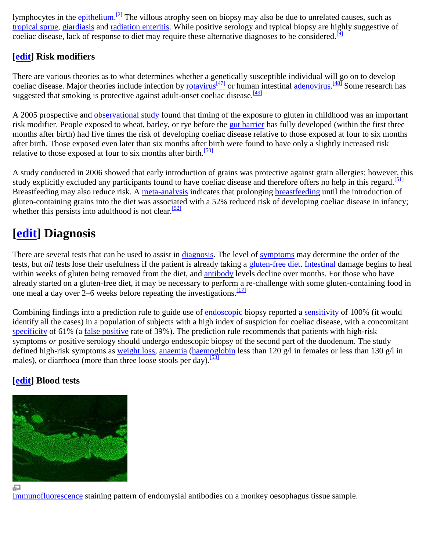lymphocytes in the **epithelium**.<sup>[\[2\]](http://en.wikipedia.org/wiki/Coeliac_disease#cite_note-VanHeelWest-1)</sup> The villous atrophy seen on biopsy may also be due to unrelated causes, such as [tropical sprue,](http://en.wikipedia.org/wiki/Tropical_sprue) [giardiasis](http://en.wikipedia.org/wiki/Giardiasis) and [radiation enteritis.](http://en.wikipedia.org/wiki/Radiation_enteritis) While positive serology and typical biopsy are highly suggestive of coeliac disease, lack of response to diet may require these alternative diagnoses to be considered.<sup>[\[9\]](http://en.wikipedia.org/wiki/Coeliac_disease#cite_note-AGA-8)</sup>

## **[\[edit\]](http://en.wikipedia.org/w/index.php?title=Coeliac_disease&action=edit§ion=11) Risk modifiers**

There are various theories as to what determines whether a genetically susceptible individual will go on to develop coeliac disease. Major theories include infection by [rotavirus](http://en.wikipedia.org/wiki/Rotavirus)<sup>[\[47\]](http://en.wikipedia.org/wiki/Rotavirus)</sup> or human intestinal [adenovirus.](http://en.wikipedia.org/wiki/Adenovirus) <sup>[\[48\]](http://en.wikipedia.org/wiki/Coeliac_disease#cite_note-47)</sup> Some research has suggested that smoking is protective against adult-onset coeliac disease.<sup>[\[49\]](http://en.wikipedia.org/wiki/Coeliac_disease#cite_note-48)</sup>

A 2005 prospective and [observational study](http://en.wikipedia.org/wiki/Observational_study) found that timing of the exposure to gluten in childhood was an important risk modifier. People exposed to wheat, barley, or rye before the [gut barrier](http://en.wikipedia.org/wiki/Gut_flora) has fully developed (within the first three months after birth) had five times the risk of developing coeliac disease relative to those exposed at four to six months after birth. Those exposed even later than six months after birth were found to have only a slightly increased risk relative to those exposed at four to six months after birth.<sup>[\[50\]](http://en.wikipedia.org/wiki/Coeliac_disease#cite_note-Norris-49)</sup>

A study conducted in 2006 showed that early introduction of grains was protective against grain allergies; however, this study explicitly excluded any participants found to have coeliac disease and therefore offers no help in this regard.<sup>[\[51\]](http://en.wikipedia.org/wiki/Coeliac_disease#cite_note-50)</sup> Breastfeeding may also reduce risk. A [meta-analysis](http://en.wikipedia.org/wiki/Meta-analysis) indicates that prolonging [breastfeeding](http://en.wikipedia.org/wiki/Breastfeeding) until the introduction of gluten-containing grains into the diet was associated with a 52% reduced risk of developing coeliac disease in infancy; whether this persists into adulthood is not clear.<sup>[\[52\]](http://en.wikipedia.org/wiki/Coeliac_disease#cite_note-51)</sup>

## **[\[edit\]](http://en.wikipedia.org/w/index.php?title=Coeliac_disease&action=edit§ion=12) Diagnosis**

There are several tests that can be used to assist in [diagnosis.](http://en.wikipedia.org/wiki/Medical_diagnosis) The level of [symptoms](http://en.wikipedia.org/wiki/Symptom) may determine the order of the tests, but *all* tests lose their usefulness if the patient is already taking a [gluten-free diet.](http://en.wikipedia.org/wiki/Gluten-free_diet) [Intestinal](http://en.wikipedia.org/wiki/Small_intestine) damage begins to heal within weeks of gluten being removed from the diet, and [antibody](http://en.wikipedia.org/wiki/Antibody) levels decline over months. For those who have already started on a gluten-free diet, it may be necessary to perform a re-challenge with some gluten-containing food in one meal a day over 2–6 weeks before repeating the investigations.  $\frac{[17]}{[17]}$  $\frac{[17]}{[17]}$  $\frac{[17]}{[17]}$ 

Combining findings into a prediction rule to guide use of [endoscopic](http://en.wikipedia.org/wiki/Endoscopic) biopsy reported a [sensitivity](http://en.wikipedia.org/wiki/Sensitivity_(tests)) of 100% (it would identify all the cases) in a population of subjects with a high index of suspicion for coeliac disease, with a concomitant [specificity](http://en.wikipedia.org/wiki/Specificity_(tests)) of 61% (a [false positive](http://en.wikipedia.org/wiki/False_positive) rate of 39%). The prediction rule recommends that patients with high-risk symptoms *or* positive serology should undergo endoscopic biopsy of the second part of the duodenum. The study defined high-risk symptoms as [weight loss,](http://en.wikipedia.org/wiki/Weight_loss) [anaemia](http://en.wikipedia.org/wiki/Anaemia) [\(haemoglobin](http://en.wikipedia.org/wiki/Haemoglobin) less than 120 g/l in females or less than 130 g/l in males), or diarrhoea (more than three loose stools per day).  $\frac{53}{3}$ 

## **[\[edit\]](http://en.wikipedia.org/w/index.php?title=Coeliac_disease&action=edit§ion=13) Blood tests**



모

[Immunofluorescence](http://en.wikipedia.org/wiki/Immunofluorescence) staining pattern of endomysial antibodies on a monkey oesophagus tissue sample.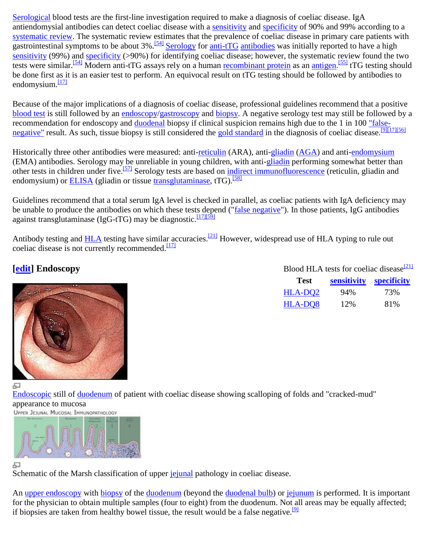[Serological](http://en.wikipedia.org/wiki/Serology) blood tests are the first-line investigation required to make a diagnosis of coeliac disease. IgA antiendomysial antibodies can detect coeliac disease with a [sensitivity](http://en.wikipedia.org/wiki/Sensitivity_and_specificity) and [specificity](http://en.wikipedia.org/wiki/Sensitivity_and_specificity) of 90% and 99% according to a [systematic review.](http://en.wikipedia.org/wiki/Systematic_review) The systematic review estimates that the prevalence of coeliac disease in primary care patients with gastrointestinal symptoms to be about  $3\%$ .<sup>[\[54\]](http://en.wikipedia.org/wiki/Coeliac_disease#cite_note-pmid20442390-53)</sup> [Serology](http://en.wikipedia.org/wiki/Serology) for [anti-tTG](http://en.wikipedia.org/wiki/Anti-transglutaminase_antibodies) [antibodies](http://en.wikipedia.org/wiki/Antibody) was initially reported to have a high [sensitivity](http://en.wikipedia.org/wiki/Sensitivity_(tests)) (99%) and [specificity](http://en.wikipedia.org/wiki/Specificity_(tests)) (>90%) for identifying coeliac disease; however, the systematic review found the two tests were similar.<sup>[\[54\]](http://en.wikipedia.org/wiki/Coeliac_disease#cite_note-pmid20442390-53)</sup> Modern anti-tTG assays rely on a human [recombinant protein](http://en.wikipedia.org/wiki/Recombinant_protein) as an [antigen.](http://en.wikipedia.org/wiki/Antigen)<sup>[\[55\]](http://en.wikipedia.org/wiki/Coeliac_disease#cite_note-54)</sup> tTG testing should be done first as it is an easier test to perform. An equivocal result on tTG testing should be followed by antibodies to endomysium. $\frac{117}{2}$ 

Because of the major implications of a diagnosis of coeliac disease, professional guidelines recommend that a positive [blood test](http://en.wikipedia.org/wiki/Blood_test) is still followed by an [endoscopy/](http://en.wikipedia.org/wiki/Endoscopy)[gastroscopy](http://en.wikipedia.org/wiki/Gastroscopy) and [biopsy.](http://en.wikipedia.org/wiki/Biopsy) A negative serology test may still be followed by a recommendation for endoscopy and [duodenal](http://en.wikipedia.org/wiki/Duodenal) biopsy if clinical suspicion remains high due to the 1 in 100 ["false](http://en.wikipedia.org/wiki/Type_I_and_type_II_errors#False_negative_rate)[negative"](http://en.wikipedia.org/wiki/Type_I_and_type_II_errors#False_negative_rate) result. As such, tissue biopsy is still considered the [gold standard](http://en.wikipedia.org/wiki/Gold_standard_(test)) in the diagnosis of coeliac disease.<sup>[\[9\]\[17\]](http://en.wikipedia.org/wiki/Coeliac_disease#cite_note-AGA-8)[\[56\]](http://en.wikipedia.org/wiki/Coeliac_disease#cite_note-NASPGHAN-55)</sup>

Historically three other antibodies were measured: anti[-reticulin](http://en.wikipedia.org/wiki/Reticulin) (ARA), anti[-gliadin](http://en.wikipedia.org/wiki/Gliadin) [\(AGA\)](http://en.wikipedia.org/wiki/Anti-gliadin_antibodies) and anti[-endomysium](http://en.wikipedia.org/wiki/Endomysium) (EMA) antibodies. Serology may be unreliable in young children, with anti[-gliadin](http://en.wikipedia.org/wiki/Gliadin) performing somewhat better than other tests in children under five.<sup>[\[57\]](http://en.wikipedia.org/wiki/Coeliac_disease#cite_note-HillNIH-56)</sup> Serology tests are based on [indirect immunofluorescence](http://en.wikipedia.org/wiki/Immunofluorescence) (reticulin, gliadin and endomysium) or [ELISA](http://en.wikipedia.org/wiki/ELISA) (gliadin or tissue [transglutaminase,](http://en.wikipedia.org/wiki/Transglutaminase) tTG).<sup>[\[58\]](http://en.wikipedia.org/wiki/Coeliac_disease#cite_note-57)</sup>

Guidelines recommend that a total serum IgA level is checked in parallel, as coeliac patients with IgA deficiency may be unable to produce the antibodies on which these tests depend (["false negative"](http://en.wikipedia.org/wiki/False_negative)). In those patients, IgG antibodies against transglutaminase (IgG-tTG) may be diagnostic.<sup>[\[17\]\[59\]](http://en.wikipedia.org/wiki/Coeliac_disease#cite_note-NICEcoeliac-16)</sup>

Antibody testing and [HLA](http://en.wikipedia.org/wiki/Human_leukocyte_antigen) testing have similar accuracies.<sup>[\[21\]](http://en.wikipedia.org/wiki/Coeliac_disease#cite_note-pmid17785484-20)</sup> However, widespread use of HLA typing to rule out coeliac disease is not currently recommended.<sup>[\[17\]](http://en.wikipedia.org/wiki/Coeliac_disease#cite_note-NICEcoeliac-16)</sup>

## **[\[edit\]](http://en.wikipedia.org/w/index.php?title=Coeliac_disease&action=edit§ion=14) Endoscopy**



Blood HLA tests for coeliac disease $\frac{[21]}{[21]}$  $\frac{[21]}{[21]}$  $\frac{[21]}{[21]}$ 

| <b>Test</b>         | sensitivity specificity |     |
|---------------------|-------------------------|-----|
| HLA-DO <sub>2</sub> | 94%                     | 73% |
| HLA-DQ8             | 12%                     | 81% |

모

[Endoscopic](http://en.wikipedia.org/wiki/Endoscopy) still of [duodenum](http://en.wikipedia.org/wiki/Duodenum) of patient with coeliac disease showing scalloping of folds and "cracked-mud" appearance to mucosa



#### 모

Schematic of the Marsh classification of upper [jejunal](http://en.wikipedia.org/wiki/Jejunum) pathology in coeliac disease.

An [upper endoscopy](http://en.wikipedia.org/wiki/Upper_endoscopy) with [biopsy](http://en.wikipedia.org/wiki/Biopsy) of the [duodenum](http://en.wikipedia.org/wiki/Duodenum) (beyond the [duodenal bulb\)](http://en.wikipedia.org/wiki/Duodenal_bulb) or [jejunum](http://en.wikipedia.org/wiki/Jejunum) is performed. It is important for the physician to obtain multiple samples (four to eight) from the duodenum. Not all areas may be equally affected; if biopsies are taken from healthy bowel tissue, the result would be a false negative.<sup>[\[9\]](http://en.wikipedia.org/wiki/Coeliac_disease#cite_note-AGA-8)</sup>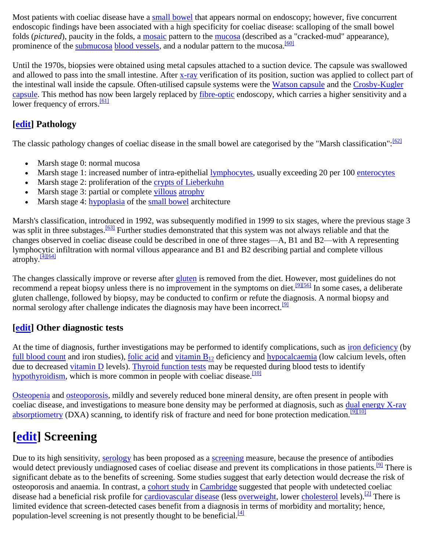Most patients with coeliac disease have a [small bowel](http://en.wikipedia.org/wiki/Small_bowel) that appears normal on endoscopy; however, five concurrent endoscopic findings have been associated with a high specificity for coeliac disease: scalloping of the small bowel folds (*pictured*), paucity in the folds, a [mosaic](http://en.wikipedia.org/wiki/Mosaic) pattern to the [mucosa](http://en.wikipedia.org/wiki/Mucosa) (described as a "cracked-mud" appearance), prominence of the [submucosa](http://en.wikipedia.org/wiki/Submucosa) [blood vessels,](http://en.wikipedia.org/wiki/Blood_vessel) and a nodular pattern to the mucosa.<sup>[\[60\]](http://en.wikipedia.org/wiki/Coeliac_disease#cite_note-59)</sup>

Until the 1970s, biopsies were obtained using metal capsules attached to a suction device. The capsule was swallowed and allowed to pass into the small intestine. After [x-ray](http://en.wikipedia.org/wiki/X-ray) verification of its position, suction was applied to collect part of the intestinal wall inside the capsule. Often-utilised capsule systems were the [Watson capsule](http://en.wikipedia.org/wiki/Watson_capsule) and the Crosby-Kugler [capsule.](http://en.wikipedia.org/wiki/Crosby-Kugler_capsule) This method has now been largely replaced by [fibre-optic](http://en.wikipedia.org/wiki/Fibre-optic) endoscopy, which carries a higher sensitivity and a lower frequency of errors.<sup>[\[61\]](http://en.wikipedia.org/wiki/Coeliac_disease#cite_note-60)</sup>

## **[\[edit\]](http://en.wikipedia.org/w/index.php?title=Coeliac_disease&action=edit§ion=15) Pathology**

The classic pathology changes of coeliac disease in the small bowel are categorised by the "Marsh classification": [\[62\]](http://en.wikipedia.org/wiki/Coeliac_disease#cite_note-61)

- Marsh stage 0: normal mucosa
- Marsh stage 1: increased number of intra-epithelial [lymphocytes,](http://en.wikipedia.org/wiki/Lymphocytes) usually exceeding 20 per 100 [enterocytes](http://en.wikipedia.org/wiki/Enterocyte)
- Marsh stage 2: proliferation of the [crypts of Lieberkuhn](http://en.wikipedia.org/wiki/Crypts_of_Lieberkuhn)
- Marsh stage 3: partial or complete [villous](http://en.wikipedia.org/wiki/Intestinal_villus) [atrophy](http://en.wikipedia.org/wiki/Atrophy)
- Marsh stage 4: [hypoplasia](http://en.wikipedia.org/wiki/Hypoplasia) of the [small bowel](http://en.wikipedia.org/wiki/Small_bowel) architecture

Marsh's classification, introduced in 1992, was subsequently modified in 1999 to six stages, where the previous stage 3 was split in three substages.<sup>[\[63\]](http://en.wikipedia.org/wiki/Coeliac_disease#cite_note-62)</sup> Further studies demonstrated that this system was not always reliable and that the changes observed in coeliac disease could be described in one of three stages—A, B1 and B2—with A representing lymphocytic infiltration with normal villous appearance and B1 and B2 describing partial and complete villous  $\arophy \frac{[4][64]}{[4]}$  $\arophy \frac{[4][64]}{[4]}$  $\arophy \frac{[4][64]}{[4]}$ 

The changes classically improve or reverse after [gluten](http://en.wikipedia.org/wiki/Gluten) is removed from the diet. However, most guidelines do not recommend a repeat biopsy unless there is no improvement in the symptoms on diet.<sup>[\[9\]\[56\]](http://en.wikipedia.org/wiki/Coeliac_disease#cite_note-AGA-8)</sup> In some cases, a deliberate gluten challenge, followed by biopsy, may be conducted to confirm or refute the diagnosis. A normal biopsy and normal serology after challenge indicates the diagnosis may have been incorrect.<sup>[\[9\]](http://en.wikipedia.org/wiki/Coeliac_disease#cite_note-AGA-8)</sup>

## **[\[edit\]](http://en.wikipedia.org/w/index.php?title=Coeliac_disease&action=edit§ion=16) Other diagnostic tests**

At the time of diagnosis, further investigations may be performed to identify complications, such as [iron deficiency](http://en.wikipedia.org/wiki/Iron_deficiency_(medicine)) (by [full blood count](http://en.wikipedia.org/wiki/Full_blood_count) and iron studies), [folic acid](http://en.wikipedia.org/wiki/Folic_acid) and [vitamin B](http://en.wikipedia.org/wiki/Vitamin_B12)<sub>12</sub> deficiency and [hypocalcaemia](http://en.wikipedia.org/wiki/Hypocalcaemia) (low calcium levels, often due to decreased [vitamin D](http://en.wikipedia.org/wiki/Vitamin_D) levels). [Thyroid function tests](http://en.wikipedia.org/wiki/Thyroid_function_test) may be requested during blood tests to identify [hypothyroidism,](http://en.wikipedia.org/wiki/Hypothyroidism) which is more common in people with coeliac disease.  $\frac{100}{200}$ 

[Osteopenia](http://en.wikipedia.org/wiki/Osteopenia) and [osteoporosis,](http://en.wikipedia.org/wiki/Osteoporosis) mildly and severely reduced bone mineral density, are often present in people with coeliac disease, and investigations to measure bone density may be performed at diagnosis, such as [dual energy X-ray](http://en.wikipedia.org/wiki/Dual_energy_X-ray_absorptiometry)  [absorptiometry](http://en.wikipedia.org/wiki/Dual_energy_X-ray_absorptiometry) (DXA) scanning, to identify risk of fracture and need for bone protection medication.<sup>[\[9\]\[10\]](http://en.wikipedia.org/wiki/Coeliac_disease#cite_note-AGA-8)</sup>

## **[\[edit\]](http://en.wikipedia.org/w/index.php?title=Coeliac_disease&action=edit§ion=17) Screening**

Due to its high sensitivity, [serology](http://en.wikipedia.org/wiki/Serology) has been proposed as a [screening](http://en.wikipedia.org/wiki/Screening_(medicine)) measure, because the presence of antibodies would detect previously undiagnosed cases of coeliac disease and prevent its complications in those patients.<sup>[\[9\]](http://en.wikipedia.org/wiki/Coeliac_disease#cite_note-AGA-8)</sup> There is significant debate as to the benefits of screening. Some studies suggest that early detection would decrease the risk of osteoporosis and anaemia. In contrast, a [cohort study](http://en.wikipedia.org/wiki/Cohort_study) in [Cambridge](http://en.wikipedia.org/wiki/Cambridge) suggested that people with undetected coeliac disease had a beneficial risk profile for [cardiovascular disease](http://en.wikipedia.org/wiki/Cardiovascular_disease) (less [overweight,](http://en.wikipedia.org/wiki/Overweight) lower [cholesterol](http://en.wikipedia.org/wiki/Cholesterol) levels).<sup>[\[2\]](http://en.wikipedia.org/wiki/Coeliac_disease#cite_note-VanHeelWest-1)</sup> There is limited evidence that screen-detected cases benefit from a diagnosis in terms of morbidity and mortality; hence, population-level screening is not presently thought to be beneficial.<sup>[\[4\]](http://en.wikipedia.org/wiki/Coeliac_disease#cite_note-Lancet-3)</sup>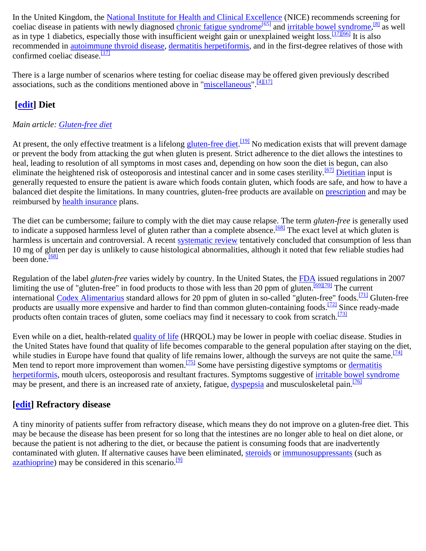In the United Kingdom, the [National Institute for Health and Clinical Excellence](http://en.wikipedia.org/wiki/National_Institute_for_Health_and_Clinical_Excellence) (NICE) recommends screening for coeliac disease in patients with newly diagnosed [chronic fatigue syndrome](http://en.wikipedia.org/wiki/Chronic_fatigue_syndrome)<sup>[\[65\]](http://en.wikipedia.org/wiki/Chronic_fatigue_syndrome)</sup> and [irritable bowel syndrome,](http://en.wikipedia.org/wiki/Irritable_bowel_syndrome)<sup>[\[8\]](http://en.wikipedia.org/wiki/Coeliac_disease#cite_note-NICEIBS-7)</sup> as well as in type 1 diabetics, especially those with insufficient weight gain or unexplained weight loss.<sup>[\[17\]\[66\]](http://en.wikipedia.org/wiki/Coeliac_disease#cite_note-NICEcoeliac-16)</sup> It is also recommended in autoimmune [thyroid disease,](http://en.wikipedia.org/wiki/Autoimmune_thyroiditis) [dermatitis herpetiformis,](http://en.wikipedia.org/wiki/Dermatitis_herpetiformis) and in the first-degree relatives of those with confirmed coeliac disease.<sup>[\[17\]](http://en.wikipedia.org/wiki/Coeliac_disease#cite_note-NICEcoeliac-16)</sup>

There is a large number of scenarios where testing for coeliac disease may be offered given previously described associations, such as the conditions mentioned above in ["miscellaneous"](http://en.wikipedia.org/wiki/Coeliac_disease#Miscellaneous).<sup>[\[4\]\[17\]](http://en.wikipedia.org/wiki/Coeliac_disease#cite_note-Lancet-3)</sup>

## **[\[edit\]](http://en.wikipedia.org/w/index.php?title=Coeliac_disease&action=edit§ion=19) Diet**

### *Main article: [Gluten-free diet](http://en.wikipedia.org/wiki/Gluten-free_diet)*

At present, the only effective treatment is a lifelong **gluten-free diet.** [\[19\]](http://en.wikipedia.org/wiki/Coeliac_disease#cite_note-Kupper-18) No medication exists that will prevent damage or prevent the body from attacking the gut when gluten is present. Strict adherence to the diet allows the intestines to heal, leading to resolution of all symptoms in most cases and, depending on how soon the diet is begun, can also eliminate the heightened risk of osteoporosis and intestinal cancer and in some cases sterility.<sup>[\[67\]](http://en.wikipedia.org/wiki/Coeliac_disease#cite_note-66)</sup> [Dietitian](http://en.wikipedia.org/wiki/Dietitian) input is generally requested to ensure the patient is aware which foods contain gluten, which foods are safe, and how to have a balanced diet despite the limitations. In many countries, gluten-free products are available on [prescription](http://en.wikipedia.org/wiki/Medical_prescription) and may be reimbursed by [health insurance](http://en.wikipedia.org/wiki/Health_insurance) plans.

The diet can be cumbersome; failure to comply with the diet may cause relapse. The term *gluten-free* is generally used to indicate a supposed harmless level of gluten rather than a complete absence.<sup>[\[68\]](http://en.wikipedia.org/wiki/Coeliac_disease#cite_note-Akobeng2008-67)</sup> The exact level at which gluten is harmless is uncertain and controversial. A recent [systematic review](http://en.wikipedia.org/wiki/Systematic_review) tentatively concluded that consumption of less than 10 mg of gluten per day is unlikely to cause histological abnormalities, although it noted that few reliable studies had been done. $\frac{[68]}{[68]}$  $\frac{[68]}{[68]}$  $\frac{[68]}{[68]}$ 

Regulation of the label *gluten-free* varies widely by country. In the United States, the [FDA](http://en.wikipedia.org/wiki/Food_and_Drug_Administration) issued regulations in 2007 limiting the use of "gluten-free" in food products to those with less than 20 ppm of gluten.<sup>[\[69\]\[70\]](http://en.wikipedia.org/wiki/Coeliac_disease#cite_note-68)</sup> The current international [Codex Alimentarius](http://en.wikipedia.org/wiki/Codex_Alimentarius) standard allows for 20 ppm of gluten in so-called "gluten-free" foods.[\[71\]](http://en.wikipedia.org/wiki/Coeliac_disease#cite_note-CodexOfficial-70) Gluten-free products are usually more expensive and harder to find than common gluten-containing foods.<sup>[\[72\]](http://en.wikipedia.org/wiki/Coeliac_disease#cite_note-economicburden-71)</sup> Since ready-made products often contain traces of gluten, some coeliacs may find it necessary to cook from scratch.<sup>[\[73\]](http://en.wikipedia.org/wiki/Coeliac_disease#cite_note-Troncone2008-72)</sup>

Even while on a diet, health-related [quality of life](http://en.wikipedia.org/wiki/Quality_of_life) (HRQOL) may be lower in people with coeliac disease. Studies in the United States have found that quality of life becomes comparable to the general population after staying on the diet, while studies in Europe have found that quality of life remains lower, although the surveys are not quite the same.<sup>[\[74\]](http://en.wikipedia.org/wiki/Coeliac_disease#cite_note-Hauser2007-73)</sup> Men tend to report more improvement than women.<sup>[\[75\]](http://en.wikipedia.org/wiki/Coeliac_disease#cite_note-Goddard2006-74)</sup> Some have persisting digestive symptoms or dermatitis [herpetiformis,](http://en.wikipedia.org/wiki/Dermatitis_herpetiformis) mouth ulcers, osteoporosis and resultant fractures. Symptoms suggestive of [irritable bowel syndrome](http://en.wikipedia.org/wiki/Irritable_bowel_syndrome) may be present, and there is an increased rate of anxiety, fatigue, [dyspepsia](http://en.wikipedia.org/wiki/Dyspepsia) and musculoskeletal pain.<sup>[\[76\]](http://en.wikipedia.org/wiki/Coeliac_disease#cite_note-Hauser2006-75)</sup>

## **[\[edit\]](http://en.wikipedia.org/w/index.php?title=Coeliac_disease&action=edit§ion=20) Refractory disease**

A tiny minority of patients suffer from refractory disease, which means they do not improve on a gluten-free diet. This may be because the disease has been present for so long that the intestines are no longer able to heal on diet alone, or because the patient is not adhering to the diet, or because the patient is consuming foods that are inadvertently contaminated with gluten. If alternative causes have been eliminated, [steroids](http://en.wikipedia.org/wiki/Glucocorticoid) or [immunosuppressants](http://en.wikipedia.org/wiki/Immunosuppressive_drug) (such as [azathioprine\)](http://en.wikipedia.org/wiki/Azathioprine) may be considered in this scenario.<sup>[\[9\]](http://en.wikipedia.org/wiki/Coeliac_disease#cite_note-AGA-8)</sup>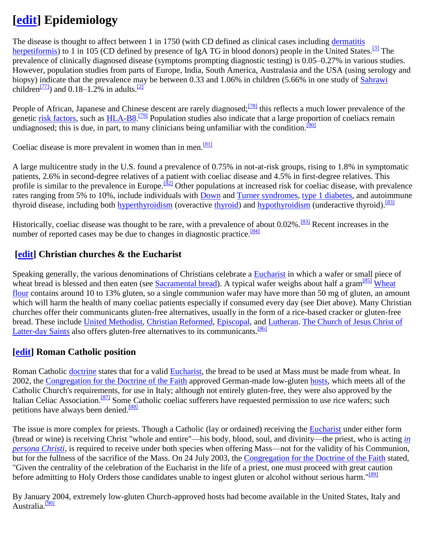## **[\[edit\]](http://en.wikipedia.org/w/index.php?title=Coeliac_disease&action=edit§ion=21) Epidemiology**

The disease is thought to affect between 1 in 1750 (with CD defined as clinical cases including [dermatitis](http://en.wikipedia.org/wiki/Dermatitis_herpetiformis)  [herpetiformis\)](http://en.wikipedia.org/wiki/Dermatitis_herpetiformis) to 1 in 105 (CD defined by presence of IgA TG in blood donors) people in the United States.<sup>[\[3\]](http://en.wikipedia.org/wiki/Coeliac_disease#cite_note-nih_epi-2)</sup> The prevalence of clinically diagnosed disease (symptoms prompting diagnostic testing) is 0.05–0.27% in various studies. However, population studies from parts of Europe, India, South America, Australasia and the USA (using serology and biopsy) indicate that the prevalence may be between 0.33 and 1.06% in children (5.66% in one study of [Sahrawi](http://en.wikipedia.org/wiki/Sahrawi_people) children<sup>[\[77\]](http://en.wikipedia.org/wiki/Coeliac_disease#cite_note-Catassi1999-76)</sup>) and  $0.18-1.2\%$  in adults.<sup>[\[2\]](http://en.wikipedia.org/wiki/Coeliac_disease#cite_note-VanHeelWest-1)</sup>

People of African, Japanese and Chinese descent are rarely diagnosed;<sup>[\[78\]](http://en.wikipedia.org/wiki/Coeliac_disease#cite_note-77)</sup> this reflects a much lower prevalence of the genetic risk [factors,](http://en.wikipedia.org/wiki/Risk_factors) such as [HLA-B8.](http://en.wikipedia.org/wiki/HLA-B8)<sup>[\[79\]](http://en.wikipedia.org/wiki/Coeliac_disease#cite_note-78)</sup> Population studies also indicate that a large proportion of coeliacs remain undiagnosed; this is due, in part, to many clinicians being unfamiliar with the condition.  $\frac{801}{200}$ 

Coeliac disease is more prevalent in women than in men.<sup>[\[81\]](http://en.wikipedia.org/wiki/Coeliac_disease#cite_note-80)</sup>

A large multicentre study in the U.S. found a prevalence of 0.75% in not-at-risk groups, rising to 1.8% in symptomatic patients, 2.6% in second-degree relatives of a patient with coeliac disease and 4.5% in first-degree relatives. This profile is similar to the prevalence in Europe.<sup>[\[82\]](http://en.wikipedia.org/wiki/Coeliac_disease#cite_note-Fasano2003-81)</sup> Other populations at increased risk for coeliac disease, with prevalence rates ranging from 5% to 10%, include individuals with [Down](http://en.wikipedia.org/wiki/Down_syndrome) and [Turner syndromes,](http://en.wikipedia.org/wiki/Turner_syndrome) [type 1 diabetes,](http://en.wikipedia.org/wiki/Type_1_diabetes) and autoimmune thyroid disease, including both [hyperthyroidism](http://en.wikipedia.org/wiki/Hyperthyroidism) (overactive [thyroid\)](http://en.wikipedia.org/wiki/Thyroid) and [hypothyroidism](http://en.wikipedia.org/wiki/Hypothyroidism) (underactive thyroid).<sup>[\[83\]](http://en.wikipedia.org/wiki/Coeliac_disease#cite_note-Barker-82)</sup>

Historically, coeliac disease was thought to be rare, with a prevalence of about 0.02%.<sup>[\[83\]](http://en.wikipedia.org/wiki/Coeliac_disease#cite_note-Barker-82)</sup> Recent increases in the number of reported cases may be due to changes in diagnostic practice.<sup>[\[84\]](http://en.wikipedia.org/wiki/Coeliac_disease#cite_note-83)</sup>

## **[\[edit\]](http://en.wikipedia.org/w/index.php?title=Coeliac_disease&action=edit§ion=23) Christian churches & the Eucharist**

Speaking generally, the various denominations of Christians celebrate a [Eucharist](http://en.wikipedia.org/wiki/Eucharist) in which a wafer or small piece of wheat bread is blessed and then eaten (see [Sacramental bread\)](http://en.wikipedia.org/wiki/Sacramental_bread). A typical wafer weighs about half a gram<sup>[\[85\]](http://en.wikipedia.org/wiki/Coeliac_disease#cite_note-84)</sup> Wheat [flour](http://en.wikipedia.org/wiki/Wheat_flour) contains around 10 to 13% gluten, so a single communion wafer may have more than 50 mg of gluten, an amount which will harm the health of many coeliac patients especially if consumed every day (see Diet above). Many Christian churches offer their communicants gluten-free alternatives, usually in the form of a rice-based cracker or gluten-free bread. These include [United Methodist,](http://en.wikipedia.org/wiki/United_Methodist_Church) [Christian Reformed,](http://en.wikipedia.org/wiki/Christian_Reformed_Church_in_North_America) [Episcopal,](http://en.wikipedia.org/wiki/Episcopal_Church_(United_States)) and [Lutheran.](http://en.wikipedia.org/wiki/Lutheranism) [The Church of Jesus Christ of](http://en.wikipedia.org/wiki/The_Church_of_Jesus_Christ_of_Latter-day_Saints)  [Latter-day Saints](http://en.wikipedia.org/wiki/The_Church_of_Jesus_Christ_of_Latter-day_Saints) also offers gluten-free alternatives to its communicants.<sup>[\[86\]](http://en.wikipedia.org/wiki/Coeliac_disease#cite_note-85)</sup>

## **[\[edit\]](http://en.wikipedia.org/w/index.php?title=Coeliac_disease&action=edit§ion=24) Roman Catholic position**

Roman Catholic [doctrine](http://en.wikipedia.org/wiki/Doctrine) states that for a valid [Eucharist,](http://en.wikipedia.org/wiki/Eucharist) the bread to be used at Mass must be made from wheat. In 2002, the [Congregation for the Doctrine of the Faith](http://en.wikipedia.org/wiki/Congregation_for_the_Doctrine_of_the_Faith) approved German-made low-gluten [hosts,](http://en.wikipedia.org/wiki/Host_(Holy_Communion)) which meets all of the Catholic Church's requirements, for use in Italy; although not entirely gluten-free, they were also approved by the Italian Celiac Association.<sup>[\[87\]](http://en.wikipedia.org/wiki/Coeliac_disease#cite_note-86)</sup> Some Catholic coeliac sufferers have requested permission to use rice wafers; such petitions have always been denied.<sup>[\[88\]](http://en.wikipedia.org/wiki/Coeliac_disease#cite_note-87)</sup>

The issue is more complex for priests. Though a Catholic (lay or ordained) receiving the [Eucharist](http://en.wikipedia.org/wiki/Eucharist) under either form (bread or wine) is receiving Christ "whole and entire"—his body, blood, soul, and divinity—the priest, who is acting *[in](http://en.wikipedia.org/wiki/In_persona_Christi)  [persona Christi](http://en.wikipedia.org/wiki/In_persona_Christi)*, is required to receive under both species when offering Mass—not for the validity of his Communion, but for the fullness of the sacrifice of the Mass. On 24 July 2003, the [Congregation for the Doctrine of the Faith](http://en.wikipedia.org/wiki/Congregation_for_the_Doctrine_of_the_Faith) stated, "Given the centrality of the celebration of the Eucharist in the life of a priest, one must proceed with great caution before admitting to Holy Orders those candidates unable to ingest gluten or alcohol without serious harm."<sup>[\[89\]](http://en.wikipedia.org/wiki/Coeliac_disease#cite_note-88)</sup>

By January 2004, extremely low-gluten Church-approved hosts had become available in the United States, Italy and Australia.<sup>[\[90\]](http://en.wikipedia.org/wiki/Coeliac_disease#cite_note-89)</sup>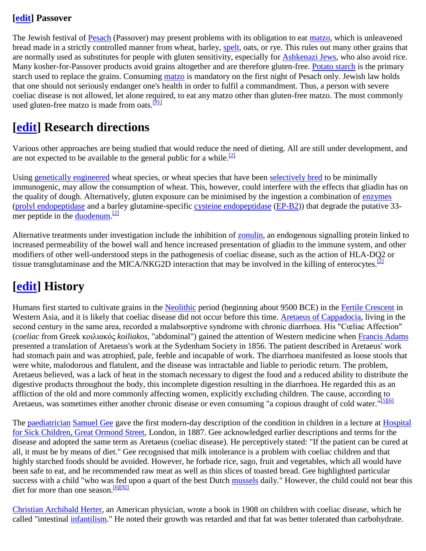## **[\[edit\]](http://en.wikipedia.org/w/index.php?title=Coeliac_disease&action=edit§ion=25) Passover**

The Jewish festival of [Pesach](http://en.wikipedia.org/wiki/Passover) (Passover) may present problems with its obligation to eat [matzo,](http://en.wikipedia.org/wiki/Matzo) which is unleavened bread made in a strictly controlled manner from wheat, barley, [spelt,](http://en.wikipedia.org/wiki/Spelt) oats, or rye. This rules out many other grains that are normally used as substitutes for people with gluten sensitivity, especially for [Ashkenazi Jews,](http://en.wikipedia.org/wiki/Ashkenazi_Jews) who also avoid rice. Many kosher-for-Passover products avoid grains altogether and are therefore gluten-free. [Potato starch](http://en.wikipedia.org/wiki/Potato_starch) is the primary starch used to replace the grains. Consuming [matzo](http://en.wikipedia.org/wiki/Matzo) is mandatory on the first night of Pesach only. Jewish law holds that one should not seriously endanger one's health in order to fulfil a commandment. Thus, a person with severe coeliac disease is not allowed, let alone required, to eat any matzo other than gluten-free matzo. The most commonly used gluten-free matzo is made from oats.<sup>[\[91\]](http://en.wikipedia.org/wiki/Coeliac_disease#cite_note-90)</sup>

## **[\[edit\]](http://en.wikipedia.org/w/index.php?title=Coeliac_disease&action=edit§ion=26) Research directions**

Various other approaches are being studied that would reduce the need of dieting. All are still under development, and are not expected to be available to the general public for a while.<sup>[\[2\]](http://en.wikipedia.org/wiki/Coeliac_disease#cite_note-VanHeelWest-1)</sup>

Using [genetically engineered](http://en.wikipedia.org/wiki/Genetic_engineering) wheat species, or wheat species that have been [selectively bred](http://en.wikipedia.org/wiki/Plant_breeding) to be minimally immunogenic, may allow the consumption of wheat. This, however, could interfere with the effects that gliadin has on the quality of dough. Alternatively, gluten exposure can be minimised by the ingestion a combination of [enzymes](http://en.wikipedia.org/wiki/Enzyme) [\(prolyl endopeptidase](http://en.wikipedia.org/wiki/Prolyl_endopeptidase) and a barley glutamine-specific [cysteine endopeptidase](http://en.wikipedia.org/wiki/Cysteine_endopeptidase) [\(EP-B2\)](http://en.wikipedia.org/wiki/EP-B2)) that degrade the putative 33- mer peptide in the <u>duodenum.</u><sup>[\[2\]](http://en.wikipedia.org/wiki/Coeliac_disease#cite_note-VanHeelWest-1)</sup>

Alternative treatments under investigation include the inhibition of [zonulin,](http://en.wikipedia.org/wiki/Zonulin) an endogenous signalling protein linked to increased permeability of the bowel wall and hence increased presentation of gliadin to the immune system, and other modifiers of other well-understood steps in the pathogenesis of coeliac disease, such as the action of HLA-DQ2 or tissue transglutaminase and the MICA/NKG2D interaction that may be involved in the killing of enterocytes.  $\frac{2}{1}$ 

## **[\[edit\]](http://en.wikipedia.org/w/index.php?title=Coeliac_disease&action=edit§ion=27) History**

Humans first started to cultivate grains in the [Neolithic](http://en.wikipedia.org/wiki/Neolithic) period (beginning about 9500 BCE) in the [Fertile Crescent](http://en.wikipedia.org/wiki/Fertile_Crescent) in Western Asia, and it is likely that coeliac disease did not occur before this time. [Aretaeus of Cappadocia,](http://en.wikipedia.org/wiki/Aretaeus_of_Cappadocia) living in the second century in the same area, recorded a malabsorptive syndrome with chronic diarrhoea. His "Cœliac Affection" (*coeliac* from Greek κοιλιακός *koiliakos*, "abdominal") gained the attention of Western medicine when [Francis Adams](http://en.wikipedia.org/wiki/Francis_Adams_(translator)) presented a translation of Aretaeus's work at the Sydenham Society in 1856. The patient described in Aretaeus' work had stomach pain and was atrophied, pale, feeble and incapable of work. The diarrhoea manifested as loose stools that were white, malodorous and flatulent, and the disease was intractable and liable to periodic return. The problem, Aretaeus believed, was a lack of heat in the stomach necessary to digest the food and a reduced ability to distribute the digestive products throughout the body, this incomplete digestion resulting in the diarrhoea. He regarded this as an affliction of the old and more commonly affecting women, explicitly excluding children. The cause, according to Aretaeus, was sometimes either another chronic disease or even consuming "a copious draught of cold water."<sup>[\[5\]\[6\]](http://en.wikipedia.org/wiki/Coeliac_disease#cite_note-Aretaeus-4)</sup>

The [paediatrician](http://en.wikipedia.org/wiki/Paediatrics) [Samuel Gee](http://en.wikipedia.org/wiki/Samuel_Gee) gave the first modern-day description of the condition in children in a lecture at Hospital [for Sick Children, Great Ormond Street,](http://en.wikipedia.org/wiki/Great_Ormond_Street_Hospital) London, in 1887. Gee acknowledged earlier descriptions and terms for the disease and adopted the same term as Aretaeus (coeliac disease). He perceptively stated: "If the patient can be cured at all, it must be by means of diet." Gee recognised that milk intolerance is a problem with coeliac children and that highly starched foods should be avoided. However, he forbade rice, sago, fruit and vegetables, which all would have been safe to eat, and he recommended raw meat as well as thin slices of toasted bread. Gee highlighted particular success with a child "who was fed upon a quart of the best Dutch [mussels](http://en.wikipedia.org/wiki/Mussel) daily." However, the child could not bear this diet for more than one season.<sup>[\[6\]\[92\]](http://en.wikipedia.org/wiki/Coeliac_disease#cite_note-Losowsky-5)</sup>

[Christian Archibald Herter,](http://en.wikipedia.org/wiki/Christian_Archibald_Herter_(physician)) an American physician, wrote a book in 1908 on children with coeliac disease, which he called "intestinal *infantilism*." He noted their growth was retarded and that fat was better tolerated than carbohydrate.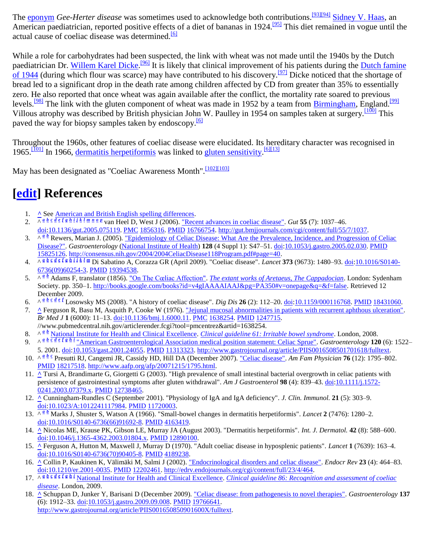The [eponym](http://en.wikipedia.org/wiki/Eponym) *Gee-Herter disease* was sometimes used to acknowledge both contributions.<sup>[\[93\]\[94\]](http://en.wikipedia.org/wiki/Coeliac_disease#cite_note-Herter1908-92)</sup> [Sidney V. Haas,](http://en.wikipedia.org/wiki/Sidney_V._Haas) an American paediatrician, reported positive effects of a diet of bananas in 1924.<sup>[\[95\]](http://en.wikipedia.org/wiki/Coeliac_disease#cite_note-94)</sup> This diet remained in vogue until the actual cause of coeliac disease was determined.<sup>[\[6\]](http://en.wikipedia.org/wiki/Coeliac_disease#cite_note-Losowsky-5)</sup>

While a role for carbohydrates had been suspected, the link with wheat was not made until the 1940s by the Dutch paediatrician Dr. [Willem Karel](http://en.wikipedia.org/wiki/Willem_Karel_Dicke) Dicke.<sup>[\[96\]](http://en.wikipedia.org/wiki/Coeliac_disease#cite_note-95)</sup> It is likely that clinical improvement of his patients during the Dutch famine [of 1944](http://en.wikipedia.org/wiki/Dutch_famine_of_1944) (during which flour was scarce) may have contributed to his discovery.<sup>[\[97\]](http://en.wikipedia.org/wiki/Coeliac_disease#cite_note-96)</sup> Dicke noticed that the shortage of bread led to a significant drop in the death rate among children affected by CD from greater than 35% to essentially zero. He also reported that once wheat was again available after the conflict, the mortality rate soared to previous levels.<sup>[\[98\]](http://en.wikipedia.org/wiki/Coeliac_disease#cite_note-97)</sup> The link with the gluten component of wheat was made in 1952 by a team from [Birmingham,](http://en.wikipedia.org/wiki/Birmingham) England.<sup>[\[99\]](http://en.wikipedia.org/wiki/Coeliac_disease#cite_note-98)</sup> Villous atrophy was described by British physician John W. Paulley in 1954 on samples taken at surgery.<sup>[\[100\]](http://en.wikipedia.org/wiki/Coeliac_disease#cite_note-99)</sup> This paved the way for biopsy samples taken by endoscopy.<sup>[\[6\]](http://en.wikipedia.org/wiki/Coeliac_disease#cite_note-Losowsky-5)</sup>

Throughout the 1960s, other features of coeliac disease were elucidated. Its hereditary character was recognised in 1965.<sup>[\[101\]](http://en.wikipedia.org/wiki/Coeliac_disease#cite_note-100)</sup> In 1966, [dermatitis herpetiformis](http://en.wikipedia.org/wiki/Dermatitis_herpetiformis) was linked to [gluten sensitivity.](http://en.wikipedia.org/wiki/Gluten_sensitivity)<sup>[\[6\]\[13\]](http://en.wikipedia.org/wiki/Coeliac_disease#cite_note-Losowsky-5)</sup>

May has been designated as "Coeliac Awareness Month". [\[102\]\[103\]](http://en.wikipedia.org/wiki/Coeliac_disease#cite_note-101)

## **[\[edit\]](http://en.wikipedia.org/w/index.php?title=Coeliac_disease&action=edit§ion=28) References**

- 1. **[^](http://en.wikipedia.org/wiki/Coeliac_disease#cite_ref-0)** See <u>American and British English spelling differences</u>.
- 2. $\sqrt{a} \cdot \frac{b}{c} \cdot \frac{c}{d} \cdot \frac{d}{e} \cdot f \cdot g \cdot h$  $\sqrt{a} \cdot \frac{b}{c} \cdot \frac{c}{d} \cdot \frac{d}{e} \cdot f \cdot g \cdot h$  $\sqrt{a} \cdot \frac{b}{c} \cdot \frac{c}{d} \cdot \frac{d}{e} \cdot f \cdot g \cdot h$  $\sqrt{a} \cdot \frac{b}{c} \cdot \frac{c}{d} \cdot \frac{d}{e} \cdot f \cdot g \cdot h$  $\sqrt{a} \cdot \frac{b}{c} \cdot \frac{c}{d} \cdot \frac{d}{e} \cdot f \cdot g \cdot h$  $\sqrt{a} \cdot \frac{b}{c} \cdot \frac{c}{d} \cdot \frac{d}{e} \cdot f \cdot g \cdot h$  $\sqrt{a} \cdot \frac{b}{c} \cdot \frac{c}{d} \cdot \frac{d}{e} \cdot f \cdot g \cdot h$  $\sqrt{a} \cdot \frac{b}{c} \cdot \frac{c}{d} \cdot \frac{d}{e} \cdot f \cdot g \cdot h$  $\sqrt{a} \cdot \frac{b}{c} \cdot \frac{c}{d} \cdot \frac{d}{e} \cdot f \cdot g \cdot h$  $\sqrt{a} \cdot \frac{b}{c} \cdot \frac{c}{d} \cdot \frac{d}{e} \cdot f \cdot g \cdot h$  $\sqrt{a} \cdot \frac{b}{c} \cdot \frac{c}{d} \cdot \frac{d}{e} \cdot f \cdot g \cdot h$  $\sqrt{a} \cdot \frac{b}{c} \cdot \frac{c}{d} \cdot \frac{d}{e} \cdot f \cdot g \cdot h$  $\sqrt{a} \cdot \frac{b}{c} \cdot \frac{c}{d} \cdot \frac{d}{e} \cdot f \cdot g \cdot h$  $\sqrt{a} \cdot \frac{b}{c} \cdot \frac{c}{d} \cdot \frac{d}{e} \cdot f \cdot g \cdot h$  [i](http://en.wikipedia.org/wiki/Coeliac_disease#cite_ref-VanHeelWest_1-8)i  $k \cdot \frac{b}{d} \cdot \frac{e}{d} \cdot \frac{p}{d}$  $k \cdot \frac{b}{d} \cdot \frac{e}{d} \cdot \frac{p}{d}$  $k \cdot \frac{b}{d} \cdot \frac{e}{d} \cdot \frac{p}{d}$  $k \cdot \frac{b}{d} \cdot \frac{e}{d} \cdot \frac{p}{d}$  $k \cdot \frac{b}{d} \cdot \frac{e}{d} \cdot \frac{p}{d}$  $k \cdot \frac{b}{d} \cdot \frac{e}{d} \cdot \frac{p}{d}$  van Hee[l](http://en.wikipedia.org/wiki/Coeliac_disease#cite_ref-VanHeelWest_1-11) D, West J (2006). <u>"Rece[n](http://en.wikipedia.org/wiki/Coeliac_disease#cite_ref-VanHeelWest_1-13)t advances in coeliac disease"</u>. Gut 55 (7): 1037–46. [doi](http://en.wikipedia.org/wiki/Digital_object_identifier)[:10.1136/gut.2005.075119.](http://dx.doi.org/10.1136%2Fgut.2005.075119) [PMC](http://en.wikipedia.org/wiki/PubMed_Central) [1856316.](http://www.ncbi.nlm.nih.gov/pmc/articles/PMC1856316/?tool=pmcentrez) [PMID](http://en.wikipedia.org/wiki/PubMed_Identifier) [16766754.](http://www.ncbi.nlm.nih.gov/pubmed/16766754) [http://gut.bmjjournals.com/cgi/content/full/55/7/1037.](http://gut.bmjjournals.com/cgi/content/full/55/7/1037)
- 3. $\wedge \frac{a}{b}$  $\wedge \frac{a}{b}$  $\wedge \frac{a}{b}$  Rewers, Marian J. (2005). "Epidemiology of Celiac Disease: What Are the Prevalence, Incidence, and Progression of Celiac [Disease?".](http://consensus.nih.gov/2004/2004CeliacDisease118Program.pdf#page=40) *Gastroenterology* [\(National Institute of Health\)](http://en.wikipedia.org/wiki/National_Institute_of_Health) **128** (4 Suppl 1): S47–51. [doi](http://en.wikipedia.org/wiki/Digital_object_identifier)[:10.1053/j.gastro.2005.02.030.](http://dx.doi.org/10.1053%2Fj.gastro.2005.02.030) [PMID](http://en.wikipedia.org/wiki/PubMed_Identifier) [15825126.](http://www.ncbi.nlm.nih.gov/pubmed/15825126) [http://consensus.nih.gov/2004/2004CeliacDisease118Program.pdf#page=40.](http://consensus.nih.gov/2004/2004CeliacDisease118Program.pdf#page=40)
- 4. $\sqrt{a b c d e f g h} i l k l m}$  $\sqrt{a b c d e f g h} i l k l m}$  $\sqrt{a b c d e f g h} i l k l m}$  $\sqrt{a b c d e f g h} i l k l m}$  $\sqrt{a b c d e f g h} i l k l m}$  $\sqrt{a b c d e f g h} i l k l m}$  $\sqrt{a b c d e f g h} i l k l m}$  $\sqrt{a b c d e f g h} i l k l m}$  $\sqrt{a b c d e f g h} i l k l m}$  $\sqrt{a b c d e f g h} i l k l m}$  $\sqrt{a b c d e f g h} i l k l m}$  $\sqrt{a b c d e f g h} i l k l m}$  $\sqrt{a b c d e f g h} i l k l m}$  $\sqrt{a b c d e f g h} i l k l m}$  $\sqrt{a b c d e f g h} i l k l m}$  $\sqrt{a b c d e f g h} i l k l m}$  $\sqrt{a b c d e f g h} i l k l m}$  $\sqrt{a b c d e f g h} i l k l m}$  $\sqrt{a b c d e f g h} i l k l m}$  $\sqrt{a b c d e f g h} i l k l m}$  $\sqrt{a b c d e f g h} i l k l m}$  $\sqrt{a b c d e f g h} i l k l m}$  $\sqrt{a b c d e f g h} i l k l m}$  Di Sabatino A, Corazza GR (April 2009). "Coeliac disease". Lancet 373 (9673): 1480-93. [doi](http://en.wikipedia.org/wiki/Digital_object_identifier)[:10.1016/S0140-](http://dx.doi.org/10.1016%2FS0140-6736%2809%2960254-3) [6736\(09\)60254-3.](http://dx.doi.org/10.1016%2FS0140-6736%2809%2960254-3) [PMID](http://en.wikipedia.org/wiki/PubMed_Identifier) [19394538.](http://www.ncbi.nlm.nih.gov/pubmed/19394538)
- 5. ^*<sup>a</sup> [b](http://en.wikipedia.org/wiki/Coeliac_disease#cite_ref-Aretaeus_4-1)* Adams F, translator (1856). ["On The Cœliac Affection".](http://books.google.com/books?id=v4gIAAAAIAAJ&pg=PA350#v=onepage&q=&f=false) *[The extant works of Aretaeus, The Cappadocian](http://books.google.com/?id=v4gIAAAAIAAJ&pg=PT1&q=)*. London: Sydenham Society. pp. 350–1. [http://books.google.com/books?id=v4gIAAAAIAAJ&pg=PA350#v=onepage&q=&f=false.](http://books.google.com/books?id=v4gIAAAAIAAJ&pg=PA350#v=onepage&q=&f=false) Retrieved 12 December 2009.
- 6. $A \frac{a b c d e f}{c}$  $A \frac{a b c d e f}{c}$  $A \frac{a b c d e f}{c}$  $A \frac{a b c d e f}{c}$  $A \frac{a b c d e f}{c}$  $A \frac{a b c d e f}{c}$  $A \frac{a b c d e f}{c}$  $A \frac{a b c d e f}{c}$  $A \frac{a b c d e f}{c}$  $A \frac{a b c d e f}{c}$  $A \frac{a b c d e f}{c}$  Losowsky MS (2008). "A history of coeliac disease". *Dig Dis* 26 (2): 112–20. <u>doi[:10.1159/000116768.](http://dx.doi.org/10.1159%2F000116768) [PMID](http://en.wikipedia.org/wiki/PubMed_Identifier) 18431060</u>.
- 7. **[^](http://en.wikipedia.org/wiki/Coeliac_disease#cite_ref-6)** Ferguson R, Basu M, Asquith P, Cooke W (1976). ["Jejunal mucosal abnormalities in patients with recurrent aphthous ulceration".](http://www.pubmedcentral.nih.gov/articlerender.fcgi?tool=pmcentrez&artid=1638254) *Br Med J* **1** (6000): 11–13. [doi](http://en.wikipedia.org/wiki/Digital_object_identifier)[:10.1136/bmj.1.6000.11.](http://dx.doi.org/10.1136%2Fbmj.1.6000.11) [PMC](http://en.wikipedia.org/wiki/PubMed_Central) [1638254.](http://www.ncbi.nlm.nih.gov/pmc/articles/PMC1638254/?tool=pmcentrez) [PMID](http://en.wikipedia.org/wiki/PubMed_Identifier) [1247715.](http://www.ncbi.nlm.nih.gov/pubmed/1247715) //www.pubmedcentral.nih.gov/articlerender.fcgi?tool=pmcentrez&artid=1638254.
- 8. $\wedge^{\underline{a} \underline{b}}$  $\wedge^{\underline{a} \underline{b}}$  $\wedge^{\underline{a} \underline{b}}$  [National Institute for Health and Clinical Excellence.](http://en.wikipedia.org/wiki/National_Institute_for_Health_and_Clinical_Excellence) *[Clinical guideline 61: Irritable bowel syndrome](http://guidance.nice.org.uk/CG61)*. London, 2008.
- 9. ^*<sup>a</sup> [b](http://en.wikipedia.org/wiki/Coeliac_disease#cite_ref-AGA_8-1) [c](http://en.wikipedia.org/wiki/Coeliac_disease#cite_ref-AGA_8-2) [d](http://en.wikipedia.org/wiki/Coeliac_disease#cite_ref-AGA_8-3) [e](http://en.wikipedia.org/wiki/Coeliac_disease#cite_ref-AGA_8-4) [f](http://en.wikipedia.org/wiki/Coeliac_disease#cite_ref-AGA_8-5) [g](http://en.wikipedia.org/wiki/Coeliac_disease#cite_ref-AGA_8-6) [h](http://en.wikipedia.org/wiki/Coeliac_disease#cite_ref-AGA_8-7) [i](http://en.wikipedia.org/wiki/Coeliac_disease#cite_ref-AGA_8-8)* ["American Gastroenterological Association medical position statement: Celiac Sprue".](http://www.gastrojournal.org/article/PIIS0016508501701618/fulltext) *Gastroenterology* **120** (6): 1522– 5. 2001. [doi](http://en.wikipedia.org/wiki/Digital_object_identifier)[:10.1053/gast.2001.24055.](http://dx.doi.org/10.1053%2Fgast.2001.24055) [PMID](http://en.wikipedia.org/wiki/PubMed_Identifier) [11313323.](http://www.ncbi.nlm.nih.gov/pubmed/11313323) [http://www.gastrojournal.org/article/PIIS0016508501701618/fulltext.](http://www.gastrojournal.org/article/PIIS0016508501701618/fulltext)
- 10. ^*<sup>a</sup> [b](http://en.wikipedia.org/wiki/Coeliac_disease#cite_ref-AFP_9-1) [c](http://en.wikipedia.org/wiki/Coeliac_disease#cite_ref-AFP_9-2)* Presutti RJ, Cangemi JR, Cassidy HD, Hill DA (December 2007)[. "Celiac disease".](http://www.aafp.org/afp/20071215/1795.html) *Am Fam Physician* **76** (12): 1795–802. [PMID](http://en.wikipedia.org/wiki/PubMed_Identifier) [18217518.](http://www.ncbi.nlm.nih.gov/pubmed/18217518) [http://www.aafp.org/afp/20071215/1795.html.](http://www.aafp.org/afp/20071215/1795.html)
- 11. **[^](http://en.wikipedia.org/wiki/Coeliac_disease#cite_ref-Tursi_10-0)** Tursi A, Brandimarte G, Giorgetti G (2003). "High prevalence of small intestinal bacterial overgrowth in celiac patients with persistence of gastrointestinal symptoms after gluten withdrawal". *Am J Gastroenterol* **98** (4): 839–43. [doi](http://en.wikipedia.org/wiki/Digital_object_identifier)[:10.1111/j.1572-](http://dx.doi.org/10.1111%2Fj.1572-0241.2003.07379.x) [0241.2003.07379.x.](http://dx.doi.org/10.1111%2Fj.1572-0241.2003.07379.x) [PMID](http://en.wikipedia.org/wiki/PubMed_Identifier) [12738465.](http://www.ncbi.nlm.nih.gov/pubmed/12738465)
- 12. **[^](http://en.wikipedia.org/wiki/Coeliac_disease#cite_ref-11)** Cunningham-Rundles C (September 2001). "Physiology of IgA and IgA deficiency". *J. Clin. Immunol.* **21** (5): 303–9. [doi](http://en.wikipedia.org/wiki/Digital_object_identifier)[:10.1023/A:1012241117984.](http://dx.doi.org/10.1023%2FA%3A1012241117984) [PMID](http://en.wikipedia.org/wiki/PubMed_Identifier) [11720003.](http://www.ncbi.nlm.nih.gov/pubmed/11720003)
- 13. ^*<sup>a</sup> [b](http://en.wikipedia.org/wiki/Coeliac_disease#cite_ref-Marks_12-1)* Marks J, Shuster S, Watson A (1966). "Small-bowel changes in dermatitis herpetiformis". *Lancet* **2** (7476): 1280–2. [doi](http://en.wikipedia.org/wiki/Digital_object_identifier)[:10.1016/S0140-6736\(66\)91692-8.](http://dx.doi.org/10.1016%2FS0140-6736%2866%2991692-8) [PMID](http://en.wikipedia.org/wiki/PubMed_Identifier) [4163419.](http://www.ncbi.nlm.nih.gov/pubmed/4163419)
- 14. **[^](http://en.wikipedia.org/wiki/Coeliac_disease#cite_ref-13)** Nicolas ME, Krause PK, Gibson LE, Murray JA (August 2003). "Dermatitis herpetiformis". *Int. J. Dermatol.* **42** (8): 588–600. [doi](http://en.wikipedia.org/wiki/Digital_object_identifier)[:10.1046/j.1365-4362.2003.01804.x.](http://dx.doi.org/10.1046%2Fj.1365-4362.2003.01804.x) [PMID](http://en.wikipedia.org/wiki/PubMed_Identifier) [12890100.](http://www.ncbi.nlm.nih.gov/pubmed/12890100)
- 15. **[^](http://en.wikipedia.org/wiki/Coeliac_disease#cite_ref-Ferguson_14-0)** Ferguson A, Hutton M, Maxwell J, Murray D (1970). "Adult coeliac disease in hyposplenic patients". *Lancet* **1** (7639): 163–4. [doi](http://en.wikipedia.org/wiki/Digital_object_identifier)[:10.1016/S0140-6736\(70\)90405-8.](http://dx.doi.org/10.1016%2FS0140-6736%2870%2990405-8) [PMID](http://en.wikipedia.org/wiki/PubMed_Identifier) [4189238.](http://www.ncbi.nlm.nih.gov/pubmed/4189238)
- 16. **[^](http://en.wikipedia.org/wiki/Coeliac_disease#cite_ref-15)** Collin P, Kaukinen K, Välimäki M, Salmi J (2002). ["Endocrinological disorders and celiac disease".](http://edrv.endojournals.org/cgi/content/full/23/4/464) *Endocr Rev* **23** (4): 464–83. [doi](http://en.wikipedia.org/wiki/Digital_object_identifier)[:10.1210/er.2001-0035.](http://dx.doi.org/10.1210%2Fer.2001-0035) [PMID](http://en.wikipedia.org/wiki/PubMed_Identifier) [12202461.](http://www.ncbi.nlm.nih.gov/pubmed/12202461) [http://edrv.endojournals.org/cgi/content/full/23/4/464.](http://edrv.endojournals.org/cgi/content/full/23/4/464)
- 17. $\sqrt{a} \cdot \frac{b}{c} \cdot \frac{d}{e} \cdot f \cdot g \cdot h$  $\sqrt{a} \cdot \frac{b}{c} \cdot \frac{d}{e} \cdot f \cdot g \cdot h$  $\sqrt{a} \cdot \frac{b}{c} \cdot \frac{d}{e} \cdot f \cdot g \cdot h$  $\sqrt{a} \cdot \frac{b}{c} \cdot \frac{d}{e} \cdot f \cdot g \cdot h$  $\sqrt{a} \cdot \frac{b}{c} \cdot \frac{d}{e} \cdot f \cdot g \cdot h$  $\sqrt{a} \cdot \frac{b}{c} \cdot \frac{d}{e} \cdot f \cdot g \cdot h$  $\sqrt{a} \cdot \frac{b}{c} \cdot \frac{d}{e} \cdot f \cdot g \cdot h$  $\sqrt{a} \cdot \frac{b}{c} \cdot \frac{d}{e} \cdot f \cdot g \cdot h$  $\sqrt{a} \cdot \frac{b}{c} \cdot \frac{d}{e} \cdot f \cdot g \cdot h$  $\sqrt{a} \cdot \frac{b}{c} \cdot \frac{d}{e} \cdot f \cdot g \cdot h$  $\sqrt{a} \cdot \frac{b}{c} \cdot \frac{d}{e} \cdot f \cdot g \cdot h$  $\sqrt{a} \cdot \frac{b}{c} \cdot \frac{d}{e} \cdot f \cdot g \cdot h$  $\sqrt{a} \cdot \frac{b}{c} \cdot \frac{d}{e} \cdot f \cdot g \cdot h$  $\sqrt{a} \cdot \frac{b}{c} \cdot \frac{d}{e} \cdot f \cdot g \cdot h$  Nat[i](http://en.wikipedia.org/wiki/Coeliac_disease#cite_ref-NICEcoeliac_16-8)onal Institute for Health and Clinical Excellence. *Clinical guideline 86: Recognition and assessment of coeliac [disease](http://guidance.nice.org.uk/CG86)*. London, 2009.
- 18. **[^](http://en.wikipedia.org/wiki/Coeliac_disease#cite_ref-Schuppan_17-0)** Schuppan D, Junker Y, Barisani D (December 2009). ["Celiac disease: from pathogenesis to novel therapies".](http://www.gastrojournal.org/article/PIIS001650850901600X/fulltext) *Gastroenterology* **137** (6): 1912–33. [doi](http://en.wikipedia.org/wiki/Digital_object_identifier)[:10.1053/j.gastro.2009.09.008.](http://dx.doi.org/10.1053%2Fj.gastro.2009.09.008) [PMID](http://en.wikipedia.org/wiki/PubMed_Identifier) [19766641.](http://www.ncbi.nlm.nih.gov/pubmed/19766641) [http://www.gastrojournal.org/article/PIIS001650850901600X/fulltext.](http://www.gastrojournal.org/article/PIIS001650850901600X/fulltext)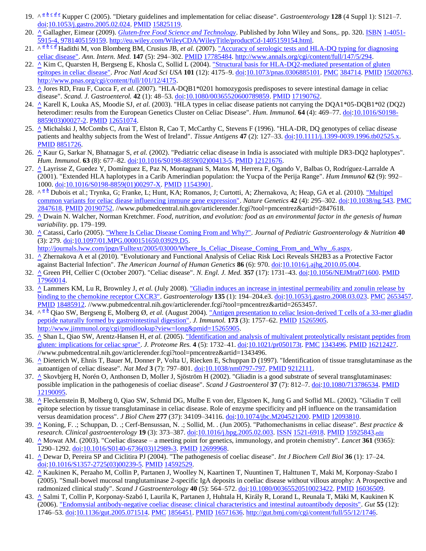- 19. ^*<sup>a</sup> [b](http://en.wikipedia.org/wiki/Coeliac_disease#cite_ref-Kupper_18-1) [c](http://en.wikipedia.org/wiki/Coeliac_disease#cite_ref-Kupper_18-2) [d](http://en.wikipedia.org/wiki/Coeliac_disease#cite_ref-Kupper_18-3) [e](http://en.wikipedia.org/wiki/Coeliac_disease#cite_ref-Kupper_18-4)* Kupper C (2005). "Dietary guidelines and implementation for celiac disease". *Gastroenterology* **128** (4 Suppl 1): S121–7. [doi](http://en.wikipedia.org/wiki/Digital_object_identifier)[:10.1053/j.gastro.2005.02.024.](http://dx.doi.org/10.1053%2Fj.gastro.2005.02.024) [PMID](http://en.wikipedia.org/wiki/PubMed_Identifier) [15825119.](http://www.ncbi.nlm.nih.gov/pubmed/15825119)
- 20. **[^](http://en.wikipedia.org/wiki/Coeliac_disease#cite_ref-19)** Gallagher, Eimear (2009). *[Gluten-free Food Science and Technology](http://eu.wiley.com/WileyCDA/WileyTitle/productCd-1405159154.html)*. Published by John Wiley and Sons,. pp. 320. [ISBN](http://en.wikipedia.org/wiki/International_Standard_Book_Number) [1-4051-](http://en.wikipedia.org/wiki/Special:BookSources/1-4051-5915-4,_9781405159159) [5915-4, 9781405159159.](http://en.wikipedia.org/wiki/Special:BookSources/1-4051-5915-4,_9781405159159) [http://eu.wiley.com/WileyCDA/WileyTitle/productCd-1405159154.html.](http://eu.wiley.com/WileyCDA/WileyTitle/productCd-1405159154.html)
- 21. $\wedge \frac{a}{b}$  $\wedge \frac{a}{b}$  $\wedge \frac{a}{b}$  *[c](http://en.wikipedia.org/wiki/Coeliac_disease#cite_ref-pmid17785484_20-2)*  $\frac{a}{c}$  Ha[d](http://en.wikipedia.org/wiki/Coeliac_disease#cite_ref-pmid17785484_20-3)ithi M, von Blomberg BM, Crusius JB, *et al.* (2007). "Accuracy of serologic tests and HLA-DQ typing for diagnosing [celiac disease".](http://www.annals.org/cgi/content/full/147/5/294) *Ann. Intern. Med.* **147** (5): 294–302[. PMID](http://en.wikipedia.org/wiki/PubMed_Identifier) [17785484.](http://www.ncbi.nlm.nih.gov/pubmed/17785484) [http://www.annals.org/cgi/content/full/147/5/294.](http://www.annals.org/cgi/content/full/147/5/294)
- 22. **[^](http://en.wikipedia.org/wiki/Coeliac_disease#cite_ref-21)** Kim C, Quarsten H, Bergseng E, Khosla C, Sollid L (2004)[. "Structural basis for HLA-DQ2-mediated presentation of gluten](http://www.pnas.org/cgi/content/full/101/12/4175)  [epitopes in celiac disease".](http://www.pnas.org/cgi/content/full/101/12/4175) *Proc Natl Acad Sci USA* **101** (12): 4175–9[. doi:](http://en.wikipedia.org/wiki/Digital_object_identifier)[10.1073/pnas.0306885101.](http://dx.doi.org/10.1073%2Fpnas.0306885101) [PMC](http://en.wikipedia.org/wiki/PubMed_Central) [384714.](http://www.ncbi.nlm.nih.gov/pmc/articles/PMC384714/?tool=pmcentrez) [PMID](http://en.wikipedia.org/wiki/PubMed_Identifier) [15020763.](http://www.ncbi.nlm.nih.gov/pubmed/15020763) [http://www.pnas.org/cgi/content/full/101/12/4175.](http://www.pnas.org/cgi/content/full/101/12/4175)
- 23. **[^](http://en.wikipedia.org/wiki/Coeliac_disease#cite_ref-pmid17190762_22-0)** Jores RD, Frau F, Cucca F, *et al.* (2007). "HLA-DQB1\*0201 homozygosis predisposes to severe intestinal damage in celiac disease". *Scand. J. Gastroenterol.* **42** (1): 48–53[. doi](http://en.wikipedia.org/wiki/Digital_object_identifier)[:10.1080/00365520600789859.](http://dx.doi.org/10.1080%2F00365520600789859) [PMID](http://en.wikipedia.org/wiki/PubMed_Identifier) [17190762.](http://www.ncbi.nlm.nih.gov/pubmed/17190762)
- 24. **[^](http://en.wikipedia.org/wiki/Coeliac_disease#cite_ref-pmid12651074_23-0)** Karell K, Louka AS, Moodie SJ, *et al.* (2003). "HLA types in celiac disease patients not carrying the DQA1\*05-DQB1\*02 (DQ2) heterodimer: results from the European Genetics Cluster on Celiac Disease". *Hum. Immunol.* **64** (4): 469–77[. doi](http://en.wikipedia.org/wiki/Digital_object_identifier)[:10.1016/S0198-](http://dx.doi.org/10.1016%2FS0198-8859%2803%2900027-2) [8859\(03\)00027-2.](http://dx.doi.org/10.1016%2FS0198-8859%2803%2900027-2) [PMID](http://en.wikipedia.org/wiki/PubMed_Identifier) [12651074.](http://www.ncbi.nlm.nih.gov/pubmed/12651074)
- 25. **[^](http://en.wikipedia.org/wiki/Coeliac_disease#cite_ref-24)** Michalski J, McCombs C, Arai T, Elston R, Cao T, McCarthy C, Stevens F (1996). "HLA-DR, DQ genotypes of celiac disease patients and healthy subjects from the West of Ireland". *Tissue Antigens* **47** (2): 127–33. [doi](http://en.wikipedia.org/wiki/Digital_object_identifier)[:10.1111/j.1399-0039.1996.tb02525.x.](http://dx.doi.org/10.1111%2Fj.1399-0039.1996.tb02525.x) [PMID](http://en.wikipedia.org/wiki/PubMed_Identifier) [8851726.](http://www.ncbi.nlm.nih.gov/pubmed/8851726)
- 26. **[^](http://en.wikipedia.org/wiki/Coeliac_disease#cite_ref-25)** Kaur G, Sarkar N, Bhatnagar S, *et al.* (2002). "Pediatric celiac disease in India is associated with multiple DR3-DQ2 haplotypes". *Hum. Immunol.* **63** (8): 677–82. [doi](http://en.wikipedia.org/wiki/Digital_object_identifier)[:10.1016/S0198-8859\(02\)00413-5.](http://dx.doi.org/10.1016%2FS0198-8859%2802%2900413-5) [PMID](http://en.wikipedia.org/wiki/PubMed_Identifier) [12121676.](http://www.ncbi.nlm.nih.gov/pubmed/12121676)
- 27. **[^](http://en.wikipedia.org/wiki/Coeliac_disease#cite_ref-26)** Layrisse Z, Guedez Y, Domínguez E, Paz N, Montagnani S, Matos M, Herrera F, Ogando V, Balbas O, Rodríguez-Larralde A (2001). "Extended HLA haplotypes in a Carib Amerindian population: the Yucpa of the Perija Range". *Hum Immunol* **62** (9): 992– 1000. [doi](http://en.wikipedia.org/wiki/Digital_object_identifier)[:10.1016/S0198-8859\(01\)00297-X.](http://dx.doi.org/10.1016%2FS0198-8859%2801%2900297-X) [PMID](http://en.wikipedia.org/wiki/PubMed_Identifier) [11543901.](http://www.ncbi.nlm.nih.gov/pubmed/11543901)
- 28. $\wedge^{\alpha}$  <sup>[b](http://en.wikipedia.org/wiki/Coeliac_disease#cite_ref-Dubois2010_27-1)</sup> Dubois et al.; Trynka, G; Franke, L; Hunt, KA; Romanos, J; Curtotti, A; Zhernakova, A; Heap, GA et al. (2010). "Multipel [common variants for celiac diease influencing immune gene expression".](http://www.pubmedcentral.nih.gov/articlerender.fcgi?tool=pmcentrez&artid=2847618) *Nature Genetics* **42** (4): 295–302. [doi](http://en.wikipedia.org/wiki/Digital_object_identifier)[:10.1038/ng.543.](http://dx.doi.org/10.1038%2Fng.543) [PMC](http://en.wikipedia.org/wiki/PubMed_Central) [2847618.](http://www.ncbi.nlm.nih.gov/pmc/articles/PMC2847618/?tool=pmcentrez) [PMID](http://en.wikipedia.org/wiki/PubMed_Identifier) [20190752.](http://www.ncbi.nlm.nih.gov/pubmed/20190752) //www.pubmedcentral.nih.gov/articlerender.fcgi?tool=pmcentrez&artid=2847618.
- 29. **[^](http://en.wikipedia.org/wiki/Coeliac_disease#cite_ref-28)** Dwain N. Walcher, Norman Kretchmer. *Food, nutrition, and evolution: food as an environmental factor in the genesis of human variability*. pp. 179–199.
- 30. **[^](http://en.wikipedia.org/wiki/Coeliac_disease#cite_ref-29)** Catassi, Carlo (2005)[. "Where Is Celiac Disease Coming From and Why?".](http://journals.lww.com/jpgn/Fulltext/2005/03000/Where_Is_Celiac_Disease_Coming_From_and_Why_.6.aspx) *Journal of Pediatric Gastroenterology & Nutrition* **40** (3): 279. [doi](http://en.wikipedia.org/wiki/Digital_object_identifier)[:10.1097/01.MPG.0000151650.03929.D5.](http://dx.doi.org/10.1097%2F01.MPG.0000151650.03929.D5)
- [http://journals.lww.com/jpgn/Fulltext/2005/03000/Where\\_Is\\_Celiac\\_Disease\\_Coming\\_From\\_and\\_Why\\_.6.aspx.](http://journals.lww.com/jpgn/Fulltext/2005/03000/Where_Is_Celiac_Disease_Coming_From_and_Why_.6.aspx)
- 31. **[^](http://en.wikipedia.org/wiki/Coeliac_disease#cite_ref-30)** Zhernakova A et al (2010). "Evolutionary and Functional Analysis of Celiac Risk Loci Reveals SH2B3 as a Protective Factor against Bacterial Infection". *The American Journal of Human Genetics* **86** (6): 970. [doi](http://en.wikipedia.org/wiki/Digital_object_identifier)[:10.1016/j.ajhg.2010.05.004.](http://dx.doi.org/10.1016%2Fj.ajhg.2010.05.004)
- 32. **[^](http://en.wikipedia.org/wiki/Coeliac_disease#cite_ref-pmid17960014_31-0)** Green PH, Cellier C (October 2007). "Celiac disease". *N. Engl. J. Med.* **357** (17): 1731–43[. doi:](http://en.wikipedia.org/wiki/Digital_object_identifier)[10.1056/NEJMra071600.](http://dx.doi.org/10.1056%2FNEJMra071600) [PMID](http://en.wikipedia.org/wiki/PubMed_Identifier) [17960014.](http://www.ncbi.nlm.nih.gov/pubmed/17960014)
- 33. **[^](http://en.wikipedia.org/wiki/Coeliac_disease#cite_ref-pmid18485912_32-0)** Lammers KM, Lu R, Brownley J, *et al.* (July 2008). ["Gliadin induces an increase in intestinal permeability and zonulin](http://www.pubmedcentral.nih.gov/articlerender.fcgi?tool=pmcentrez&artid=2653457) release by [binding to the chemokine receptor CXCR3".](http://www.pubmedcentral.nih.gov/articlerender.fcgi?tool=pmcentrez&artid=2653457) *Gastroenterology* **135** (1): 194–204.e3[. doi](http://en.wikipedia.org/wiki/Digital_object_identifier)[:10.1053/j.gastro.2008.03.023.](http://dx.doi.org/10.1053%2Fj.gastro.2008.03.023) [PMC](http://en.wikipedia.org/wiki/PubMed_Central) [2653457.](http://www.ncbi.nlm.nih.gov/pmc/articles/PMC2653457/?tool=pmcentrez) [PMID](http://en.wikipedia.org/wiki/PubMed_Identifier) [18485912.](http://www.ncbi.nlm.nih.gov/pubmed/18485912) //www.pubmedcentral.nih.gov/articlerender.fcgi?tool=pmcentrez&artid=2653457.
- 34. ^*<sup>a</sup> [b](http://en.wikipedia.org/wiki/Coeliac_disease#cite_ref-pmid15265905_33-1)* Qiao SW, Bergseng E, Molberg Ø, *et al.* (August 2004)[. "Antigen presentation to celiac lesion-derived T cells of a 33-mer gliadin](http://www.jimmunol.org/cgi/pmidlookup?view=long&pmid=15265905)  [peptide naturally formed by gastrointestinal digestion".](http://www.jimmunol.org/cgi/pmidlookup?view=long&pmid=15265905) *J. Immunol.* **173** (3): 1757–62[. PMID](http://en.wikipedia.org/wiki/PubMed_Identifier) [15265905.](http://www.ncbi.nlm.nih.gov/pubmed/15265905) [http://www.jimmunol.org/cgi/pmidlookup?view=long&pmid=15265905.](http://www.jimmunol.org/cgi/pmidlookup?view=long&pmid=15265905)
- 35. **[^](http://en.wikipedia.org/wiki/Coeliac_disease#cite_ref-pmid16212427_34-0)** Shan L, Qiao SW, Arentz-Hansen H, *et al.* (2005). ["Identification and analysis of multivalent proteolytically resistant peptides from](http://www.pubmedcentral.nih.gov/articlerender.fcgi?tool=pmcentrez&artid=1343496)  [gluten: implications for celiac sprue".](http://www.pubmedcentral.nih.gov/articlerender.fcgi?tool=pmcentrez&artid=1343496) *J. Proteome Res.* **4** (5): 1732–41[. doi:](http://en.wikipedia.org/wiki/Digital_object_identifier)[10.1021/pr050173t.](http://dx.doi.org/10.1021%2Fpr050173t) [PMC](http://en.wikipedia.org/wiki/PubMed_Central) [1343496.](http://www.ncbi.nlm.nih.gov/pmc/articles/PMC1343496/?tool=pmcentrez) [PMID](http://en.wikipedia.org/wiki/PubMed_Identifier) [16212427.](http://www.ncbi.nlm.nih.gov/pubmed/16212427) //www.pubmedcentral.nih.gov/articlerender.fcgi?tool=pmcentrez&artid=1343496.
- 36. **[^](http://en.wikipedia.org/wiki/Coeliac_disease#cite_ref-Dieterich_35-0)** Dieterich W, Ehnis T, Bauer M, Donner P, Volta U, Riecken E, Schuppan D (1997). "Identification of tissue transglutaminase as the autoantigen of celiac disease". *Nat Med* **3** (7): 797–801. [doi](http://en.wikipedia.org/wiki/Digital_object_identifier)[:10.1038/nm0797-797.](http://dx.doi.org/10.1038%2Fnm0797-797) [PMID](http://en.wikipedia.org/wiki/PubMed_Identifier) [9212111.](http://www.ncbi.nlm.nih.gov/pubmed/9212111)
- 37. **[^](http://en.wikipedia.org/wiki/Coeliac_disease#cite_ref-Skovbjerg_36-0)** Skovbjerg H, Norén O, Anthonsen D, Moller J, Sjöström H (2002). "Gliadin is a good substrate of several transglutaminases: possible implication in the pathogenesis of coeliac disease". *Scand J Gastroenterol* **37** (7): 812–7. [doi](http://en.wikipedia.org/wiki/Digital_object_identifier)[:10.1080/713786534.](http://dx.doi.org/10.1080%2F713786534) [PMID](http://en.wikipedia.org/wiki/PubMed_Identifier) [12190095.](http://www.ncbi.nlm.nih.gov/pubmed/12190095)
- 38. **[^](http://en.wikipedia.org/wiki/Coeliac_disease#cite_ref-Fleckenstein_37-0)** Fleckenstein B, Molberg 0, Qiao SW, Schmid DG, Mulbe E von der, Elgstoen K, Jung G and Soflid ML. (2002). "Gliadin T cell epitope selection by tissue transglutaminase in celiac disease. Role of enzyme specificity and pH influence on the transamidation versus deamidation process". *J Biol Chem* **277** (37): 34109–34116[. doi](http://en.wikipedia.org/wiki/Digital_object_identifier)[:10.1074/jbc.M204521200.](http://dx.doi.org/10.1074%2Fjbc.M204521200) [PMID](http://en.wikipedia.org/wiki/PubMed_Identifier) [12093810.](http://www.ncbi.nlm.nih.gov/pubmed/12093810)
- 39. **[^](http://en.wikipedia.org/wiki/Coeliac_disease#cite_ref-Dieterich-2003_38-0)** Koning, F. .; Schuppan, D. .; Cerf-Bensussan, N. .; Sollid, M. . (Jun 2005). "Pathomechanisms in celiac disease". *Best practice & research. Clinical gastroenterology* **19** (3): 373–387. [doi](http://en.wikipedia.org/wiki/Digital_object_identifier)[:10.1016/j.bpg.2005.02.003.](http://dx.doi.org/10.1016%2Fj.bpg.2005.02.003) [ISSN](http://en.wikipedia.org/wiki/International_Standard_Serial_Number) [1521-6918.](http://www.worldcat.org/issn/1521-6918) [PMID](http://en.wikipedia.org/wiki/PubMed_Identifier) [15925843.](http://www.ncbi.nlm.nih.gov/pubmed/15925843)[edit](http://en.wikipedia.org/w/index.php?title=Template:Cite_pmid/15925843&action=edit&editintro=Template:Cite_pmid/editintro2)
- 40. **[^](http://en.wikipedia.org/wiki/Coeliac_disease#cite_ref-Mowat_39-0)** Mowat AM. (2003). "Coeliac disease a meeting point for genetics, immunology, and protein chemistry". *Lancet* **361** (9365): 1290–1292. [doi](http://en.wikipedia.org/wiki/Digital_object_identifier)[:10.1016/S0140-6736\(03\)12989-3.](http://dx.doi.org/10.1016%2FS0140-6736%2803%2912989-3) [PMID](http://en.wikipedia.org/wiki/PubMed_Identifier) [12699968.](http://www.ncbi.nlm.nih.gov/pubmed/12699968)
- 41. **[^](http://en.wikipedia.org/wiki/Coeliac_disease#cite_ref-Dewar_40-0)** Dewar D, Pereira SP and Ciclitira PJ (2004). "The pathogenesis of coeliac disease". *Int J Biochem Cell Biol* **36** (1): 17–24. [doi](http://en.wikipedia.org/wiki/Digital_object_identifier)[:10.1016/S1357-2725\(03\)00239-5.](http://dx.doi.org/10.1016%2FS1357-2725%2803%2900239-5) [PMID](http://en.wikipedia.org/wiki/PubMed_Identifier) [14592529.](http://www.ncbi.nlm.nih.gov/pubmed/14592529)
- 42. **[^](http://en.wikipedia.org/wiki/Coeliac_disease#cite_ref-Kaukinen_41-0)** Kaukinen K, Peraaho M, Collin P, Partanen J, Woolley N, Kaartinen T, Nuuntinen T, Halttunen T, Maki M, Korponay-Szabo I (2005). "Small-bowel mucosal tranglutaminase 2-specific IgA deposits in coeliac disease without villous atrophy: A Prospective and radmonized clinical study". *Scand J Gastroenterology* **40** (5): 564–572[. doi](http://en.wikipedia.org/wiki/Digital_object_identifier)[:10.1080/00365520510023422.](http://dx.doi.org/10.1080%2F00365520510023422) [PMID](http://en.wikipedia.org/wiki/PubMed_Identifier) [16036509.](http://www.ncbi.nlm.nih.gov/pubmed/16036509)
- 43. **[^](http://en.wikipedia.org/wiki/Coeliac_disease#cite_ref-EMAnegCD_42-0)** Salmi T, Collin P, Korponay-Szabó I, Laurila K, Partanen J, Huhtala H, Király R, Lorand L, Reunala T, Mäki M, Kaukinen K (2006)[. "Endomysial antibody-negative coeliac disease: clinical characteristics and intestinal autoantibody deposits".](http://gut.bmj.com/cgi/content/full/55/12/1746) *Gut* **55** (12): 1746–53. [doi](http://en.wikipedia.org/wiki/Digital_object_identifier)[:10.1136/gut.2005.071514.](http://dx.doi.org/10.1136%2Fgut.2005.071514) [PMC](http://en.wikipedia.org/wiki/PubMed_Central) [1856451.](http://www.ncbi.nlm.nih.gov/pmc/articles/PMC1856451/?tool=pmcentrez) [PMID](http://en.wikipedia.org/wiki/PubMed_Identifier) [16571636.](http://www.ncbi.nlm.nih.gov/pubmed/16571636) [http://gut.bmj.com/cgi/content/full/55/12/1746.](http://gut.bmj.com/cgi/content/full/55/12/1746)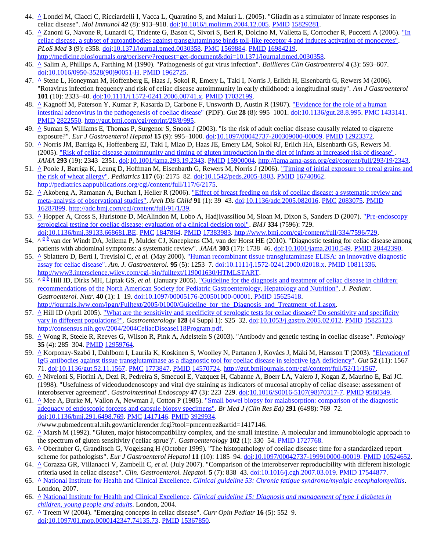- 44. **[^](http://en.wikipedia.org/wiki/Coeliac_disease#cite_ref-InnateReview_43-0)** Londei M, Ciacci C, Ricciardelli I, Vacca L, Quaratino S, and Maiuri L. (2005). "Gliadin as a stimulator of innate responses in celiac disease". *Mol Immunol* **42** (8): 913–918. [doi](http://en.wikipedia.org/wiki/Digital_object_identifier)[:10.1016/j.molimm.2004.12.005.](http://dx.doi.org/10.1016%2Fj.molimm.2004.12.005) [PMID](http://en.wikipedia.org/wiki/PubMed_Identifier) [15829281.](http://www.ncbi.nlm.nih.gov/pubmed/15829281)
- 45. **[^](http://en.wikipedia.org/wiki/Coeliac_disease#cite_ref-toll-like_44-0)** Zanoni G, Navone R, Lunardi C, Tridente G, Bason C, Sivori S, Beri R, Dolcino M, Valletta E, Corrocher R, Puccetti A (2006). ["In](http://medicine.plosjournals.org/perlserv/?request=get-document&doi=10.1371/journal.pmed.0030358)  [celiac disease, a subset of autoantibodies against transglutaminase binds toll-like receptor 4 and induces activation of monocytes".](http://medicine.plosjournals.org/perlserv/?request=get-document&doi=10.1371/journal.pmed.0030358) *PLoS Med* **3** (9): e358. [doi](http://en.wikipedia.org/wiki/Digital_object_identifier)[:10.1371/journal.pmed.0030358.](http://dx.doi.org/10.1371%2Fjournal.pmed.0030358) [PMC](http://en.wikipedia.org/wiki/PubMed_Central) [1569884.](http://www.ncbi.nlm.nih.gov/pmc/articles/PMC1569884/?tool=pmcentrez) [PMID](http://en.wikipedia.org/wiki/PubMed_Identifier) [16984219.](http://www.ncbi.nlm.nih.gov/pubmed/16984219) [http://medicine.plosjournals.org/perlserv/?request=get-document&doi=10.1371/journal.pmed.0030358.](http://medicine.plosjournals.org/perlserv/?request=get-document&doi=10.1371/journal.pmed.0030358)
- 46. **[^](http://en.wikipedia.org/wiki/Coeliac_disease#cite_ref-45)** Salim A, Phillips A, Farthing M (1990). "Pathogenesis of gut virus infection". *Baillieres Clin Gastroenterol* **4** (3): 593–607. [doi](http://en.wikipedia.org/wiki/Digital_object_identifier)[:10.1016/0950-3528\(90\)90051-H.](http://dx.doi.org/10.1016%2F0950-3528%2890%2990051-H) [PMID](http://en.wikipedia.org/wiki/PubMed_Identifier) [1962725.](http://www.ncbi.nlm.nih.gov/pubmed/1962725)
- 47. **[^](http://en.wikipedia.org/wiki/Coeliac_disease#cite_ref-46)** Stene L, Honeyman M, Hoffenberg E, Haas J, Sokol R, Emery L, Taki I, Norris J, Erlich H, Eisenbarth G, Rewers M (2006). "Rotavirus infection frequency and risk of celiac disease autoimmunity in early childhood: a longitudinal study". *Am J Gastroenterol* **101** (10): 2333–40[. doi](http://en.wikipedia.org/wiki/Digital_object_identifier)[:10.1111/j.1572-0241.2006.00741.x.](http://dx.doi.org/10.1111%2Fj.1572-0241.2006.00741.x) [PMID](http://en.wikipedia.org/wiki/PubMed_Identifier) [17032199.](http://www.ncbi.nlm.nih.gov/pubmed/17032199)
- 48. **[^](http://en.wikipedia.org/wiki/Coeliac_disease#cite_ref-47)** Kagnoff M, Paterson Y, Kumar P, Kasarda D, Carbone F, Unsworth D, Austin R (1987). ["Evidence for the role of a human](http://gut.bmj.com/cgi/reprint/28/8/995)  [intestinal adenovirus in the pathogenesis of coeliac disease"](http://gut.bmj.com/cgi/reprint/28/8/995) (PDF). *Gut* **28** (8): 995–1001[. doi](http://en.wikipedia.org/wiki/Digital_object_identifier)[:10.1136/gut.28.8.995.](http://dx.doi.org/10.1136%2Fgut.28.8.995) [PMC](http://en.wikipedia.org/wiki/PubMed_Central) [1433141.](http://www.ncbi.nlm.nih.gov/pmc/articles/PMC1433141/?tool=pmcentrez) [PMID](http://en.wikipedia.org/wiki/PubMed_Identifier) [2822550.](http://www.ncbi.nlm.nih.gov/pubmed/2822550) [http://gut.bmj.com/cgi/reprint/28/8/995.](http://gut.bmj.com/cgi/reprint/28/8/995)
- 49. **[^](http://en.wikipedia.org/wiki/Coeliac_disease#cite_ref-48)** Suman S, Williams E, Thomas P, Surgenor S, Snook J (2003). "Is the risk of adult coeliac disease causally related to cigarette exposure?". *Eur J Gastroenterol Hepatol* **15** (9): 995–1000. [doi](http://en.wikipedia.org/wiki/Digital_object_identifier)[:10.1097/00042737-200309000-00009.](http://dx.doi.org/10.1097%2F00042737-200309000-00009) [PMID](http://en.wikipedia.org/wiki/PubMed_Identifier) [12923372.](http://www.ncbi.nlm.nih.gov/pubmed/12923372)
- 50. **[^](http://en.wikipedia.org/wiki/Coeliac_disease#cite_ref-Norris_49-0)** Norris JM, Barriga K, Hoffenberg EJ, Taki I, Miao D, Haas JE, Emery LM, Sokol RJ, Erlich HA, Eisenbarth GS, Rewers M. (2005)[. "Risk of celiac disease autoimmunity and timing of gluten introduction in the diet of infants at increased risk of disease".](http://jama.ama-assn.org/cgi/content/full/293/19/2343) *JAMA* **293** (19): 2343–2351. [doi](http://en.wikipedia.org/wiki/Digital_object_identifier)[:10.1001/jama.293.19.2343.](http://dx.doi.org/10.1001%2Fjama.293.19.2343) [PMID](http://en.wikipedia.org/wiki/PubMed_Identifier) [15900004.](http://www.ncbi.nlm.nih.gov/pubmed/15900004) [http://jama.ama-assn.org/cgi/content/full/293/19/2343.](http://jama.ama-assn.org/cgi/content/full/293/19/2343)
- 51. **[^](http://en.wikipedia.org/wiki/Coeliac_disease#cite_ref-50)** Poole J, Barriga K, Leung D, Hoffman M, Eisenbarth G, Rewers M, Norris J (2006). <u>"Timing of initial exposure to cereal grains and</u> [the risk of wheat allergy".](http://pediatrics.aappublications.org/cgi/content/full/117/6/2175) *Pediatrics* **117** (6): 2175–82. [doi](http://en.wikipedia.org/wiki/Digital_object_identifier)[:10.1542/peds.2005-1803.](http://dx.doi.org/10.1542%2Fpeds.2005-1803) [PMID](http://en.wikipedia.org/wiki/PubMed_Identifier) [16740862.](http://www.ncbi.nlm.nih.gov/pubmed/16740862) [http://pediatrics.aappublications.org/cgi/content/full/117/6/2175.](http://pediatrics.aappublications.org/cgi/content/full/117/6/2175)
- 52. **[^](http://en.wikipedia.org/wiki/Coeliac_disease#cite_ref-51)** Akobeng A, Ramanan A, Buchan I, Heller R (2006). ["Effect of breast feeding on risk of coeliac disease: a systematic review and](http://adc.bmj.com/cgi/content/full/91/1/39)  [meta-analysis of observational studies".](http://adc.bmj.com/cgi/content/full/91/1/39) *Arch Dis Child* **91** (1): 39–43. [doi](http://en.wikipedia.org/wiki/Digital_object_identifier)[:10.1136/adc.2005.082016.](http://dx.doi.org/10.1136%2Fadc.2005.082016) [PMC](http://en.wikipedia.org/wiki/PubMed_Central) [2083075.](http://www.ncbi.nlm.nih.gov/pmc/articles/PMC2083075/?tool=pmcentrez) [PMID](http://en.wikipedia.org/wiki/PubMed_Identifier) [16287899.](http://www.ncbi.nlm.nih.gov/pubmed/16287899) [http://adc.bmj.com/cgi/content/full/91/1/39.](http://adc.bmj.com/cgi/content/full/91/1/39)
- 53. **[^](http://en.wikipedia.org/wiki/Coeliac_disease#cite_ref-pmmid17383983_52-0)** Hopper A, Cross S, Hurlstone D, McAlindon M, Lobo A, Hadjivassiliou M, Sloan M, Dixon S, Sanders D (2007). ["Pre-endoscopy](http://www.bmj.com/cgi/content/full/334/7596/729)  [serological testing for coeliac disease: evaluation of a clinical decision tool".](http://www.bmj.com/cgi/content/full/334/7596/729) *BMJ* **334** (7596): 729. [doi](http://en.wikipedia.org/wiki/Digital_object_identifier)[:10.1136/bmj.39133.668681.BE.](http://dx.doi.org/10.1136%2Fbmj.39133.668681.BE) [PMC](http://en.wikipedia.org/wiki/PubMed_Central) [1847864.](http://www.ncbi.nlm.nih.gov/pmc/articles/PMC1847864/?tool=pmcentrez) [PMID](http://en.wikipedia.org/wiki/PubMed_Identifier) [17383983.](http://www.ncbi.nlm.nih.gov/pubmed/17383983) [http://www.bmj.com/cgi/content/full/334/7596/729.](http://www.bmj.com/cgi/content/full/334/7596/729)
- 54.^ *a [b](http://en.wikipedia.org/wiki/Coeliac_disease#cite_ref-pmid20442390_53-1)* van der Windt DA, Jellema P, Mulder CJ, Kneepkens CM, van der Horst HE (2010). "Diagnostic testing for celiac disease among patients with abdominal symptoms: a systematic review". *JAMA* **303** (17): 1738–46. [doi](http://en.wikipedia.org/wiki/Digital_object_identifier)[:10.1001/jama.2010.549.](http://dx.doi.org/10.1001%2Fjama.2010.549) [PMID](http://en.wikipedia.org/wiki/PubMed_Identifier) [20442390.](http://www.ncbi.nlm.nih.gov/pubmed/20442390)
- 55. **[^](http://en.wikipedia.org/wiki/Coeliac_disease#cite_ref-54)** Sblattero D, Berti I, Trevisiol C, *et al.* (May 2000). "Human recombinant [tissue transglutaminase ELISA: an innovative diagnostic](http://www3.interscience.wiley.com/cgi-bin/fulltext/119001630/HTMLSTART)  [assay for celiac disease".](http://www3.interscience.wiley.com/cgi-bin/fulltext/119001630/HTMLSTART) *Am. J. Gastroenterol.* **95** (5): 1253–7[. doi](http://en.wikipedia.org/wiki/Digital_object_identifier)[:10.1111/j.1572-0241.2000.02018.x.](http://dx.doi.org/10.1111%2Fj.1572-0241.2000.02018.x) [PMID](http://en.wikipedia.org/wiki/PubMed_Identifier) [10811336.](http://www.ncbi.nlm.nih.gov/pubmed/10811336) [http://www3.interscience.wiley.com/cgi-bin/fulltext/119001630/HTMLSTART.](http://www3.interscience.wiley.com/cgi-bin/fulltext/119001630/HTMLSTART)
- 56. $\wedge \frac{a}{b}$  $\wedge \frac{a}{b}$  $\wedge \frac{a}{b}$  Hill ID, Dirks MH, Liptak GS, *et al.* (January 2005). "Guideline for the diagnosis and treatment of celiac disease in children: [recommendations of the North American Society for Pediatric Gastroenterology, Hepatology and Nutrition".](http://journals.lww.com/jpgn/Fulltext/2005/01000/Guideline_for_the_Diagnosis_and_Treatment_of.1.aspx) *J. Pediatr. Gastroenterol. Nutr.* **40** (1): 1–19. [doi](http://en.wikipedia.org/wiki/Digital_object_identifier)[:10.1097/00005176-200501000-00001.](http://dx.doi.org/10.1097%2F00005176-200501000-00001) [PMID](http://en.wikipedia.org/wiki/PubMed_Identifier) [15625418.](http://www.ncbi.nlm.nih.gov/pubmed/15625418) http://journals.lww.com/jpgn/Fulltext/2005/01000/Guideline for the Diagnosis and Treatment of.1.aspx.
- 57. **[^](http://en.wikipedia.org/wiki/Coeliac_disease#cite_ref-HillNIH_56-0)** Hill ID (April 2005)[. "What are the sensitivity and specificity of serologic tests for celiac disease? Do sensitivity and specificity](http://consensus.nih.gov/2004/2004CeliacDisease118Program.pdf)  [vary in different populations?".](http://consensus.nih.gov/2004/2004CeliacDisease118Program.pdf) *Gastroenterology* **128** (4 Suppl 1): S25–32. [doi](http://en.wikipedia.org/wiki/Digital_object_identifier)[:10.1053/j.gastro.2005.02.012.](http://dx.doi.org/10.1053%2Fj.gastro.2005.02.012) [PMID](http://en.wikipedia.org/wiki/PubMed_Identifier) [15825123.](http://www.ncbi.nlm.nih.gov/pubmed/15825123) [http://consensus.nih.gov/2004/2004CeliacDisease118Program.pdf.](http://consensus.nih.gov/2004/2004CeliacDisease118Program.pdf)
- 58. **[^](http://en.wikipedia.org/wiki/Coeliac_disease#cite_ref-57)** Wong R, Steele R, Reeves G, Wilson R, Pink A, Adelstein S (2003). "Antibody and genetic testing in coeliac disease". *Pathology* **35** (4): 285–304[. PMID](http://en.wikipedia.org/wiki/PubMed_Identifier) [12959764.](http://www.ncbi.nlm.nih.gov/pubmed/12959764)
- 59. **[^](http://en.wikipedia.org/wiki/Coeliac_disease#cite_ref-58)** Korponay-Szabó I, Dahlbom I, Laurila K, Koskinen S, Woolley N, Partanen J, Kovács J, Mäki M, Hansson T (2003). ["Elevation of](http://gut.bmjjournals.com/cgi/content/full/52/11/1567)  [IgG antibodies against tissue transglutaminase as a diagnostic tool for coeliac disease in selective IgA deficiency".](http://gut.bmjjournals.com/cgi/content/full/52/11/1567) *Gut* **52** (11): 1567– 71. [doi](http://en.wikipedia.org/wiki/Digital_object_identifier)[:10.1136/gut.52.11.1567.](http://dx.doi.org/10.1136%2Fgut.52.11.1567) [PMC](http://en.wikipedia.org/wiki/PubMed_Central) [1773847.](http://www.ncbi.nlm.nih.gov/pmc/articles/PMC1773847/?tool=pmcentrez) [PMID](http://en.wikipedia.org/wiki/PubMed_Identifier) [14570724.](http://www.ncbi.nlm.nih.gov/pubmed/14570724) [http://gut.bmjjournals.com/cgi/content/full/52/11/1567.](http://gut.bmjjournals.com/cgi/content/full/52/11/1567)
- 60. **[^](http://en.wikipedia.org/wiki/Coeliac_disease#cite_ref-59)** Niveloni S, Fiorini A, Dezi R, Pedreira S, Smecuol E, Vazquez H, Cabanne A, Boerr LA, Valero J, Kogan Z, Maurino E, Bai JC. (1998). "Usefulness of videoduodenoscopy and vital dye staining as indicators of mucosal atrophy of celiac disease: assessment of interobserver agreement". *Gastrointestinal Endoscopy* **47** (3): 223–229. [doi](http://en.wikipedia.org/wiki/Digital_object_identifier)[:10.1016/S0016-5107\(98\)70317-7.](http://dx.doi.org/10.1016%2FS0016-5107%2898%2970317-7) [PMID](http://en.wikipedia.org/wiki/PubMed_Identifier) [9580349.](http://www.ncbi.nlm.nih.gov/pubmed/9580349)
- 61. **[^](http://en.wikipedia.org/wiki/Coeliac_disease#cite_ref-60)** Mee A, Burke M, Vallon A, Newman J, Cotton P (1985). ["Small bowel biopsy for malabsorption: comparison of the diagnostic](http://www.pubmedcentral.nih.gov/articlerender.fcgi?tool=pmcentrez&artid=1417146)  [adequacy of endoscopic forceps and capsule biopsy specimens".](http://www.pubmedcentral.nih.gov/articlerender.fcgi?tool=pmcentrez&artid=1417146) *Br Med J (Clin Res Ed)* **291** (6498): 769–72. [doi](http://en.wikipedia.org/wiki/Digital_object_identifier)[:10.1136/bmj.291.6498.769.](http://dx.doi.org/10.1136%2Fbmj.291.6498.769) [PMC](http://en.wikipedia.org/wiki/PubMed_Central) [1417146.](http://www.ncbi.nlm.nih.gov/pmc/articles/PMC1417146/?tool=pmcentrez) [PMID](http://en.wikipedia.org/wiki/PubMed_Identifier) [3929934.](http://www.ncbi.nlm.nih.gov/pubmed/3929934)
- //www.pubmedcentral.nih.gov/articlerender.fcgi?tool=pmcentrez&artid=1417146.
- 62. **[^](http://en.wikipedia.org/wiki/Coeliac_disease#cite_ref-61)** Marsh M (1992). "Gluten, major histocompatibility complex, and the small intestine. A molecular and immunobiologic approach to the spectrum of gluten sensitivity ('celiac sprue')". *Gastroenterology* **102** (1): 330–54. [PMID](http://en.wikipedia.org/wiki/PubMed_Identifier) [1727768.](http://www.ncbi.nlm.nih.gov/pubmed/1727768)
- 63. **[^](http://en.wikipedia.org/wiki/Coeliac_disease#cite_ref-62)** Oberhuber G, Granditsch G, Vogelsang H (October 1999). "The histopathology of coeliac disease: time for a standardized report scheme for pathologists". *Eur J Gastroenterol Hepatol* **11** (10): 1185–94. [doi](http://en.wikipedia.org/wiki/Digital_object_identifier)[:10.1097/00042737-199910000-00019.](http://dx.doi.org/10.1097%2F00042737-199910000-00019) [PMID](http://en.wikipedia.org/wiki/PubMed_Identifier) [10524652.](http://www.ncbi.nlm.nih.gov/pubmed/10524652)
- 64. **[^](http://en.wikipedia.org/wiki/Coeliac_disease#cite_ref-63)** Corazza GR, Villanacci V, Zambelli C, *et al.* (July 2007). "Comparison of the interobserver reproducibility with different histologic criteria used in celiac disease". *Clin. Gastroenterol. Hepatol.* **5** (7): 838–43[. doi](http://en.wikipedia.org/wiki/Digital_object_identifier)[:10.1016/j.cgh.2007.03.019.](http://dx.doi.org/10.1016%2Fj.cgh.2007.03.019) [PMID](http://en.wikipedia.org/wiki/PubMed_Identifier) [17544877.](http://www.ncbi.nlm.nih.gov/pubmed/17544877)
- 65. **[^](http://en.wikipedia.org/wiki/Coeliac_disease#cite_ref-64)** [National Institute for Health and Clinical Excellence.](http://en.wikipedia.org/wiki/National_Institute_for_Health_and_Clinical_Excellence) *[Clinical guideline 53: Chronic fatigue syndrome/myalgic encephalomyelitis](http://guidance.nice.org.uk/CG53)*. London, 2007.
- 66. **[^](http://en.wikipedia.org/wiki/Coeliac_disease#cite_ref-65)** [National Institute for Health and Clinical Excellence.](http://en.wikipedia.org/wiki/National_Institute_for_Health_and_Clinical_Excellence) *[Clinical guideline 15: Diagnosis and management of type 1 diabetes in](http://guidance.nice.org.uk/CG15)  [children, young people and adults](http://guidance.nice.org.uk/CG15)*. London, 2004.
- 67. **[^](http://en.wikipedia.org/wiki/Coeliac_disease#cite_ref-66)** Treem W (2004). "Emerging concepts in celiac disease". *Curr Opin Pediatr* **16** (5): 552–9. [doi](http://en.wikipedia.org/wiki/Digital_object_identifier)[:10.1097/01.mop.0000142347.74135.73.](http://dx.doi.org/10.1097%2F01.mop.0000142347.74135.73) [PMID](http://en.wikipedia.org/wiki/PubMed_Identifier) [15367850.](http://www.ncbi.nlm.nih.gov/pubmed/15367850)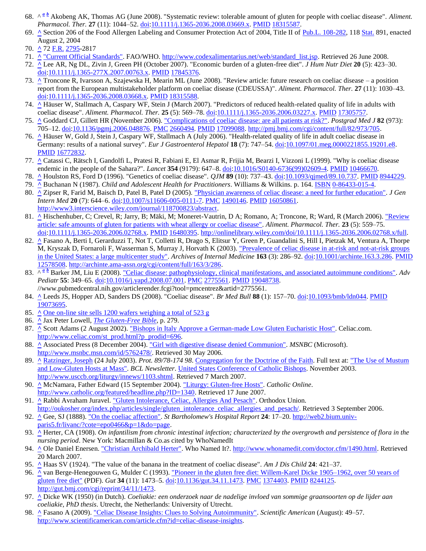- 68. ^*<sup>a</sup> [b](http://en.wikipedia.org/wiki/Coeliac_disease#cite_ref-Akobeng2008_67-1)* Akobeng AK, Thomas AG (June 2008). "Systematic review: tolerable amount of gluten for people with coeliac disease". *Aliment. Pharmacol. Ther.* **27** (11): 1044–52. [doi](http://en.wikipedia.org/wiki/Digital_object_identifier)[:10.1111/j.1365-2036.2008.03669.x.](http://dx.doi.org/10.1111%2Fj.1365-2036.2008.03669.x) [PMID](http://en.wikipedia.org/wiki/PubMed_Identifier) [18315587.](http://www.ncbi.nlm.nih.gov/pubmed/18315587)
- 69. **[^](http://en.wikipedia.org/wiki/Coeliac_disease#cite_ref-68)** Section 206 of the Food Allergen Labeling and Consumer Protection Act of 2004, Title II of [Pub.L. 108-282,](http://www.gpo.gov/fdsys/pkg/PLAW-108publ282/content-detail.html) 11[8 Stat.](http://en.wikipedia.org/wiki/United_States_Statutes_at_Large) 891, enacted August 2, 2004
- 70. **[^](http://en.wikipedia.org/wiki/Coeliac_disease#cite_ref-69)** 72 [F.R.](http://en.wikipedia.org/wiki/Federal_Register) [2795-](http://frwebgate.access.gpo.gov/cgi-bin/getpage.cgi?dbname=2007_register&position=all&page=2795)2817
- 71. **[^](http://en.wikipedia.org/wiki/Coeliac_disease#cite_ref-CodexOfficial_70-0)** ["Current Official Standards".](http://www.codexalimentarius.net/web/standard_list.jsp) FAO/WHO. [http://www.codexalimentarius.net/web/standard\\_list.jsp.](http://www.codexalimentarius.net/web/standard_list.jsp) Retrieved 26 June 2008.
- 72. **[^](http://en.wikipedia.org/wiki/Coeliac_disease#cite_ref-economicburden_71-0)** Lee AR, Ng DL, Zivin J, Green PH (October 2007). "Economic burden of a gluten-free diet". *J Hum Nutr Diet* **20** (5): 423–30. [doi](http://en.wikipedia.org/wiki/Digital_object_identifier)[:10.1111/j.1365-277X.2007.00763.x.](http://dx.doi.org/10.1111%2Fj.1365-277X.2007.00763.x) [PMID](http://en.wikipedia.org/wiki/PubMed_Identifier) [17845376.](http://www.ncbi.nlm.nih.gov/pubmed/17845376)
- 73. **[^](http://en.wikipedia.org/wiki/Coeliac_disease#cite_ref-Troncone2008_72-0)** Troncone R, Ivarsson A, Szajewska H, Mearin ML (June 2008). "Review article: future research on coeliac disease a position report from the European multistakeholder platform on coeliac disease (CDEUSSA)". *Aliment. Pharmacol. Ther.* **27** (11): 1030–43. [doi](http://en.wikipedia.org/wiki/Digital_object_identifier)[:10.1111/j.1365-2036.2008.03668.x.](http://dx.doi.org/10.1111%2Fj.1365-2036.2008.03668.x) [PMID](http://en.wikipedia.org/wiki/PubMed_Identifier) [18315588.](http://www.ncbi.nlm.nih.gov/pubmed/18315588)
- 74. **[^](http://en.wikipedia.org/wiki/Coeliac_disease#cite_ref-Hauser2007_73-0)** Häuser W, Stallmach A, Caspary WF, Stein J (March 2007). "Predictors of reduced health-related quality of life in adults with coeliac disease". *Aliment. Pharmacol. Ther.* **25** (5): 569–78[. doi:](http://en.wikipedia.org/wiki/Digital_object_identifier)[10.1111/j.1365-2036.2006.03227.x.](http://dx.doi.org/10.1111%2Fj.1365-2036.2006.03227.x) [PMID](http://en.wikipedia.org/wiki/PubMed_Identifier) [17305757.](http://www.ncbi.nlm.nih.gov/pubmed/17305757)
- 75. **[^](http://en.wikipedia.org/wiki/Coeliac_disease#cite_ref-Goddard2006_74-0)** Goddard CJ, Gillett HR (November 2006). ["Complications of coeliac disease: are all patients at risk?".](http://pmj.bmj.com/cgi/content/full/82/973/705) *Postgrad Med J* **82** (973): 705–12. [doi](http://en.wikipedia.org/wiki/Digital_object_identifier)[:10.1136/pgmj.2006.048876.](http://dx.doi.org/10.1136%2Fpgmj.2006.048876) [PMC](http://en.wikipedia.org/wiki/PubMed_Central) [2660494.](http://www.ncbi.nlm.nih.gov/pmc/articles/PMC2660494/?tool=pmcentrez) [PMID](http://en.wikipedia.org/wiki/PubMed_Identifier) [17099088.](http://www.ncbi.nlm.nih.gov/pubmed/17099088) [http://pmj.bmj.com/cgi/content/full/82/973/705.](http://pmj.bmj.com/cgi/content/full/82/973/705)
- 76. **[^](http://en.wikipedia.org/wiki/Coeliac_disease#cite_ref-Hauser2006_75-0)** Häuser W, Gold J, Stein J, Caspary WF, Stallmach A (July 2006). "Health-related quality of life in adult coeliac disease in Germany: results of a national survey". *Eur J Gastroenterol Hepatol* **18** (7): 747–54[. doi:](http://en.wikipedia.org/wiki/Digital_object_identifier)[10.1097/01.meg.0000221855.19201.e8.](http://dx.doi.org/10.1097%2F01.meg.0000221855.19201.e8) [PMID](http://en.wikipedia.org/wiki/PubMed_Identifier) [16772832.](http://www.ncbi.nlm.nih.gov/pubmed/16772832)
- 77. **[^](http://en.wikipedia.org/wiki/Coeliac_disease#cite_ref-Catassi1999_76-0)** Catassi C, Rätsch I, Gandolfi L, Pratesi R, Fabiani E, El Asmar R, Frijia M, Bearzi I, Vizzoni L (1999). "Why is coeliac disease endemic in the people of the Sahara?". *Lancet* **354** (9179): 647–8. [doi](http://en.wikipedia.org/wiki/Digital_object_identifier)[:10.1016/S0140-6736\(99\)02609-4.](http://dx.doi.org/10.1016%2FS0140-6736%2899%2902609-4) [PMID](http://en.wikipedia.org/wiki/PubMed_Identifier) [10466670.](http://www.ncbi.nlm.nih.gov/pubmed/10466670)
- 78. **[^](http://en.wikipedia.org/wiki/Coeliac_disease#cite_ref-77)** Houlston RS, Ford D (1996). "Genetics of coeliac disease". *QJM* **89** (10): 737–43[. doi:](http://en.wikipedia.org/wiki/Digital_object_identifier)[10.1093/qjmed/89.10.737.](http://dx.doi.org/10.1093%2Fqjmed%2F89.10.737) [PMID](http://en.wikipedia.org/wiki/PubMed_Identifier) [8944229.](http://www.ncbi.nlm.nih.gov/pubmed/8944229)
- 79. **[^](http://en.wikipedia.org/wiki/Coeliac_disease#cite_ref-78)** Buchanan N (1987). *Child and Adolescent Health for Practitioners*. Williams & Wilkins. p. 164. [ISBN](http://en.wikipedia.org/wiki/International_Standard_Book_Number) [0-86433-015-4.](http://en.wikipedia.org/wiki/Special:BookSources/0-86433-015-4)
- 80. **[^](http://en.wikipedia.org/wiki/Coeliac_disease#cite_ref-79)** Zipser R, Farid M, Baisch D, Patel B, Patel D (2005). ["Physician awareness of celiac disease: a need for further education".](http://www3.interscience.wiley.com/journal/118700823/abstract) *J Gen Intern Med* **20** (7): 644–6[. doi:](http://en.wikipedia.org/wiki/Digital_object_identifier)[10.1007/s11606-005-0111-7.](http://dx.doi.org/10.1007%2Fs11606-005-0111-7) [PMC](http://en.wikipedia.org/wiki/PubMed_Central) [1490146.](http://www.ncbi.nlm.nih.gov/pmc/articles/PMC1490146/?tool=pmcentrez) [PMID](http://en.wikipedia.org/wiki/PubMed_Identifier) [16050861.](http://www.ncbi.nlm.nih.gov/pubmed/16050861) [http://www3.interscience.wiley.com/journal/118700823/abstract.](http://www3.interscience.wiley.com/journal/118700823/abstract)
- 81. **[^](http://en.wikipedia.org/wiki/Coeliac_disease#cite_ref-80)** Hischenhuber, C; Crevel, R; Jarry, B; Mäki, M; Moneret-Vautrin, D A; Romano, A; Troncone, R; Ward, R (March 2006). "Review [article: safe amounts of gluten for patients with wheat allergy or coeliac disease".](http://onlinelibrary.wiley.com/doi/10.1111/j.1365-2036.2006.02768.x/full) *Aliment. Pharmacol. Ther.* **23** (5): 559–75. [doi](http://en.wikipedia.org/wiki/Digital_object_identifier)[:10.1111/j.1365-2036.2006.02768.x.](http://dx.doi.org/10.1111%2Fj.1365-2036.2006.02768.x) [PMID](http://en.wikipedia.org/wiki/PubMed_Identifier) [16480395.](http://www.ncbi.nlm.nih.gov/pubmed/16480395) [http://onlinelibrary.wiley.com/doi/10.1111/j.1365-2036.2006.02768.x/full.](http://onlinelibrary.wiley.com/doi/10.1111/j.1365-2036.2006.02768.x/full)
- 82. **[^](http://en.wikipedia.org/wiki/Coeliac_disease#cite_ref-Fasano2003_81-0)** Fasano A, Berti I, Gerarduzzi T, Not T, Colletti R, Drago S, Elitsur Y, Green P, Guandalini S, Hill I, Pietzak M, Ventura A, Thorpe M, Kryszak D, Fornaroli F, Wasserman S, Murray J, Horvath K (2003). ["Prevalence of celiac disease in at-risk and not-at-risk groups](http://archinte.ama-assn.org/cgi/content/full/163/3/286)  [in the United States: a large multicenter study".](http://archinte.ama-assn.org/cgi/content/full/163/3/286) *Archives of Internal Medicine* **163** (3): 286–92[. doi](http://en.wikipedia.org/wiki/Digital_object_identifier)[:10.1001/archinte.163.3.286.](http://dx.doi.org/10.1001%2Farchinte.163.3.286) [PMID](http://en.wikipedia.org/wiki/PubMed_Identifier) [12578508.](http://www.ncbi.nlm.nih.gov/pubmed/12578508) [http://archinte.ama-assn.org/cgi/content/full/163/3/286.](http://archinte.ama-assn.org/cgi/content/full/163/3/286)
- 83.^  $\frac{a}{b}$  $\frac{a}{b}$  $\frac{a}{b}$  Barker JM, Liu E (2008). <u>"Celiac disease: pathophysiology, clinical manifestations, and associated autoimmune conditions". Adv</u> *Pediatr* **55**: 349–65. [doi](http://en.wikipedia.org/wiki/Digital_object_identifier)[:10.1016/j.yapd.2008.07.001.](http://dx.doi.org/10.1016%2Fj.yapd.2008.07.001) [PMC](http://en.wikipedia.org/wiki/PubMed_Central) [2775561.](http://www.ncbi.nlm.nih.gov/pmc/articles/PMC2775561/?tool=pmcentrez) [PMID](http://en.wikipedia.org/wiki/PubMed_Identifier) [19048738.](http://www.ncbi.nlm.nih.gov/pubmed/19048738) //www.pubmedcentral.nih.gov/articlerender.fcgi?tool=pmcentrez&artid=2775561.
- 84. **[^](http://en.wikipedia.org/wiki/Coeliac_disease#cite_ref-83)** Leeds JS, Hopper AD, Sanders DS (2008). "Coeliac disease". *Br Med Bull* **88** (1): 157–70[. doi:](http://en.wikipedia.org/wiki/Digital_object_identifier)[10.1093/bmb/ldn044.](http://dx.doi.org/10.1093%2Fbmb%2Fldn044) [PMID](http://en.wikipedia.org/wiki/PubMed_Identifier) [19073695.](http://www.ncbi.nlm.nih.gov/pubmed/19073695)
- 85. **[^](http://en.wikipedia.org/wiki/Coeliac_disease#cite_ref-84)** [One on-line site sells 1200 wafers weighing a total of 523 g](http://www.eden.co.uk/shop/peoples-alter-breads-single-cross-sealed-edge-white-125972.html)
- 86. **[^](http://en.wikipedia.org/wiki/Coeliac_disease#cite_ref-85)** Jax Peter Lowell, *[The Gluten-Free Bible](http://books.google.com/books?id=IRhm1A2_EkkC&printsec=frontcover&source=gbs_summary_r&cad=0)*, p. 279.
- 87. **[^](http://en.wikipedia.org/wiki/Coeliac_disease#cite_ref-86)** Scott Adams (2 August 2002). ["Bishops in Italy Approve a German-made Low Gluten Eucharistic Host".](http://www.celiac.com/st_prod.html?p_prodid=696) Celiac.com. [http://www.celiac.com/st\\_prod.html?p\\_prodid=696.](http://www.celiac.com/st_prod.html?p_prodid=696)
- 88. **[^](http://en.wikipedia.org/wiki/Coeliac_disease#cite_ref-87)** Associated Press (8 December 2004). <u>"Girl with digestive disease denied Communion"</u>. *MSNBC* (Microsoft). [http://www.msnbc.msn.com/id/5762478/.](http://www.msnbc.msn.com/id/5762478/) Retrieved 30 May 2006.
- 89. **[^](http://en.wikipedia.org/wiki/Coeliac_disease#cite_ref-88)** [Ratzinger, Joseph](http://en.wikipedia.org/wiki/Pope_Benedict_XVI) (24 July 2003). *Prot. 89/78-174 98*[. Congregation for the Doctrine of the Faith.](http://en.wikipedia.org/wiki/Congregation_for_the_Doctrine_of_the_Faith) Full text at[: "The Use of Mustum](http://www.usccb.org/liturgy/innews/1103.shtml)  [and Low-Gluten Hosts at Mass".](http://www.usccb.org/liturgy/innews/1103.shtml) *BCL Newsletter*. [United States Conference of Catholic Bishops.](http://en.wikipedia.org/wiki/United_States_Conference_of_Catholic_Bishops) November 2003. [http://www.usccb.org/liturgy/innews/1103.shtml.](http://www.usccb.org/liturgy/innews/1103.shtml) Retrieved 7 March 2007.
- 90. **[^](http://en.wikipedia.org/wiki/Coeliac_disease#cite_ref-89)** McNamara, Father Edward (15 September 2004). ["Liturgy: Gluten-free Hosts".](http://www.catholic.org/featured/headline.php?ID=1340) *Catholic Online*. [http://www.catholic.org/featured/headline.php?ID=1340.](http://www.catholic.org/featured/headline.php?ID=1340) Retrieved 17 June 2007.
- 91. **[^](http://en.wikipedia.org/wiki/Coeliac_disease#cite_ref-90)** Rabbi Avraham Juravel. ["Gluten Intolerance, Celiac, Allergies And Pesach".](http://oukosher.org/index.php/articles/single/gluten_intolerance_celiac_allergies_and_pesach/) Orthodox Union. [http://oukosher.org/index.php/articles/single/gluten\\_intolerance\\_celiac\\_allergies\\_and\\_pesach/.](http://oukosher.org/index.php/articles/single/gluten_intolerance_celiac_allergies_and_pesach/) Retrieved 3 September 2006.
- 92. **[^](http://en.wikipedia.org/wiki/Coeliac_disease#cite_ref-91)** Gee, SJ (1888). ["On the coeliac affection".](http://web2.bium.univ-paris5.fr/livanc/?cote=epo0466&p=1&do=page) *St Bartholomew's Hospital Report* **24**: 17–20[. http://web2.bium.univ](http://web2.bium.univ-paris5.fr/livanc/?cote=epo0466&p=1&do=page)[paris5.fr/livanc/?cote=epo0466&p=1&do=page.](http://web2.bium.univ-paris5.fr/livanc/?cote=epo0466&p=1&do=page)
- 93. **[^](http://en.wikipedia.org/wiki/Coeliac_disease#cite_ref-Herter1908_92-0)** Herter, CA (1908). *On infantilism from chronic intestinal infection; characterized by the overgrowth and persistence of flora in the nursing period*. New York: Macmillan & Co.as cited by WhoNamedIt
- 94. **[^](http://en.wikipedia.org/wiki/Coeliac_disease#cite_ref-whoNamedItHerter_93-0)** Ole Daniel Enersen[. "Christian Archibald Herter".](http://www.whonamedit.com/doctor.cfm/1490.html) Who Named It?. [http://www.whonamedit.com/doctor.cfm/1490.html.](http://www.whonamedit.com/doctor.cfm/1490.html) Retrieved 20 March 2007.
- 95. **[^](http://en.wikipedia.org/wiki/Coeliac_disease#cite_ref-94)** Haas SV (1924). "The value of the banana in the treatment of coeliac disease". *Am J Dis Child* **24**: 421–37.
- 96. **[^](http://en.wikipedia.org/wiki/Coeliac_disease#cite_ref-95)** van Berge-Henegouwen G, Mulder C (1993). "Pioneer in the gluten free diet: Willem-Karel Dicke 1905–1962, over 50 years of [gluten free diet"](http://gut.bmj.com/cgi/reprint/34/11/1473) (PDF). *Gut* **34** (11): 1473–5. [doi](http://en.wikipedia.org/wiki/Digital_object_identifier)[:10.1136/gut.34.11.1473.](http://dx.doi.org/10.1136%2Fgut.34.11.1473) [PMC](http://en.wikipedia.org/wiki/PubMed_Central) [1374403.](http://www.ncbi.nlm.nih.gov/pmc/articles/PMC1374403/?tool=pmcentrez) [PMID](http://en.wikipedia.org/wiki/PubMed_Identifier) [8244125.](http://www.ncbi.nlm.nih.gov/pubmed/8244125)  [http://gut.bmj.com/cgi/reprint/34/11/1473.](http://gut.bmj.com/cgi/reprint/34/11/1473)
- 97. **[^](http://en.wikipedia.org/wiki/Coeliac_disease#cite_ref-96)** Dicke WK (1950) (in Dutch). *Coeliakie: een onderzoek naar de nadelige invloed van sommige graansoorten op de lijder aan coeliakie, PhD thesis*. Utrecht, the Netherlands: University of Utrecht.
- 98. **[^](http://en.wikipedia.org/wiki/Coeliac_disease#cite_ref-97)** Fasano A (2009). ["Celiac Disease Insights: Clues to Solving Autoimmunity".](http://www.scientificamerican.com/article.cfm?id=celiac-disease-insights) *Scientific American* (August): 49–57. [http://www.scientificamerican.com/article.cfm?id=celiac-disease-insights.](http://www.scientificamerican.com/article.cfm?id=celiac-disease-insights)